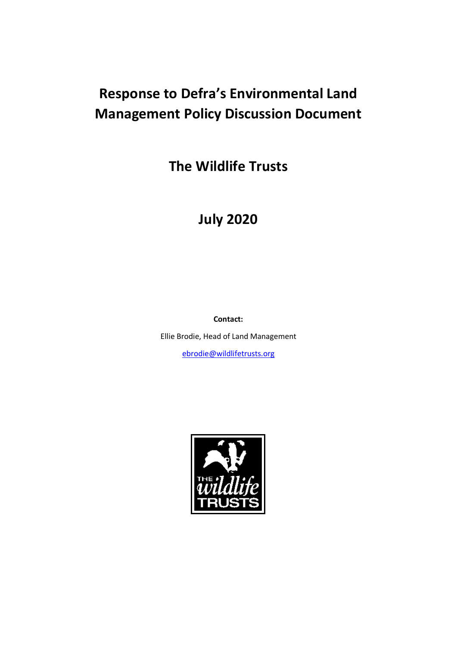# **Response to Defra's Environmental Land Management Policy Discussion Document**

**The Wildlife Trusts** 

# **July 2020**

**Contact:** 

Ellie Brodie, Head of Land Management

[ebrodie@wildlifetrusts.org](mailto:ebrodie@wildlifetrusts.org)

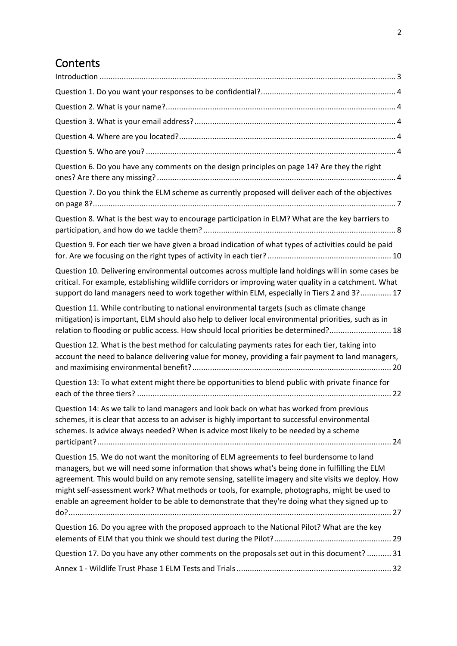# **Contents**

| Question 6. Do you have any comments on the design principles on page 14? Are they the right                                                                                                                                                                                                                                                                                                                                                                                                        |
|-----------------------------------------------------------------------------------------------------------------------------------------------------------------------------------------------------------------------------------------------------------------------------------------------------------------------------------------------------------------------------------------------------------------------------------------------------------------------------------------------------|
| Question 7. Do you think the ELM scheme as currently proposed will deliver each of the objectives                                                                                                                                                                                                                                                                                                                                                                                                   |
| Question 8. What is the best way to encourage participation in ELM? What are the key barriers to                                                                                                                                                                                                                                                                                                                                                                                                    |
| Question 9. For each tier we have given a broad indication of what types of activities could be paid                                                                                                                                                                                                                                                                                                                                                                                                |
| Question 10. Delivering environmental outcomes across multiple land holdings will in some cases be<br>critical. For example, establishing wildlife corridors or improving water quality in a catchment. What<br>support do land managers need to work together within ELM, especially in Tiers 2 and 3? 17                                                                                                                                                                                          |
| Question 11. While contributing to national environmental targets (such as climate change<br>mitigation) is important, ELM should also help to deliver local environmental priorities, such as in<br>relation to flooding or public access. How should local priorities be determined? 18                                                                                                                                                                                                           |
| Question 12. What is the best method for calculating payments rates for each tier, taking into<br>account the need to balance delivering value for money, providing a fair payment to land managers,                                                                                                                                                                                                                                                                                                |
| Question 13: To what extent might there be opportunities to blend public with private finance for                                                                                                                                                                                                                                                                                                                                                                                                   |
| Question 14: As we talk to land managers and look back on what has worked from previous<br>schemes, it is clear that access to an adviser is highly important to successful environmental<br>schemes. Is advice always needed? When is advice most likely to be needed by a scheme                                                                                                                                                                                                                  |
| Question 15. We do not want the monitoring of ELM agreements to feel burdensome to land<br>managers, but we will need some information that shows what's being done in fulfilling the ELM<br>agreement. This would build on any remote sensing, satellite imagery and site visits we deploy. How<br>might self-assessment work? What methods or tools, for example, photographs, might be used to<br>enable an agreement holder to be able to demonstrate that they're doing what they signed up to |
| Question 16. Do you agree with the proposed approach to the National Pilot? What are the key                                                                                                                                                                                                                                                                                                                                                                                                        |
| Question 17. Do you have any other comments on the proposals set out in this document?  31                                                                                                                                                                                                                                                                                                                                                                                                          |
|                                                                                                                                                                                                                                                                                                                                                                                                                                                                                                     |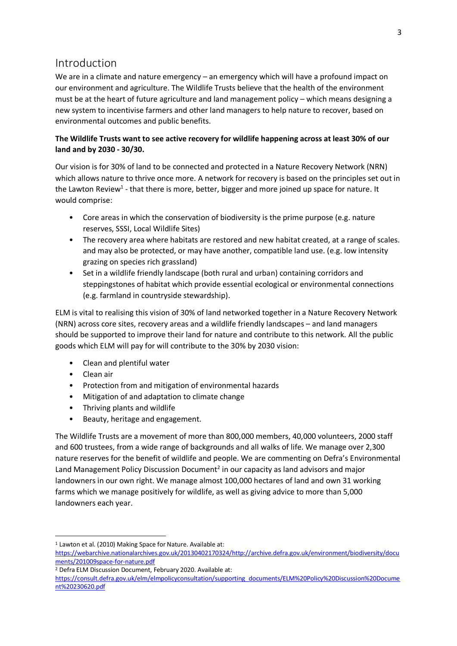# <span id="page-2-0"></span>Introduction

We are in a climate and nature emergency – an emergency which will have a profound impact on our environment and agriculture. The Wildlife Trusts believe that the health of the environment must be at the heart of future agriculture and land management policy – which means designing a new system to incentivise farmers and other land managers to help nature to recover, based on environmental outcomes and public benefits.

# **The Wildlife Trusts want to see active recovery for wildlife happening across at least 30% of our land and by 2030 - 30/30.**

Our vision is for 30% of land to be connected and protected in a Nature Recovery Network (NRN) which allows nature to thrive once more. A network for recovery is based on the principles set out in the Lawton Review<sup>1</sup> - that there is more, better, bigger and more joined up space for nature. It would comprise:

- Core areas in which the conservation of biodiversity is the prime purpose (e.g. nature reserves, SSSI, Local Wildlife Sites)
- The recovery area where habitats are restored and new habitat created, at a range of scales. and may also be protected, or may have another, compatible land use. (e.g. low intensity grazing on species rich grassland)
- Set in a wildlife friendly landscape (both rural and urban) containing corridors and steppingstones of habitat which provide essential ecological or environmental connections (e.g. farmland in countryside stewardship).

ELM is vital to realising this vision of 30% of land networked together in a Nature Recovery Network (NRN) across core sites, recovery areas and a wildlife friendly landscapes – and land managers should be supported to improve their land for nature and contribute to this network. All the public goods which ELM will pay for will contribute to the 30% by 2030 vision:

- Clean and plentiful water
- Clean air
- Protection from and mitigation of environmental hazards
- Mitigation of and adaptation to climate change
- Thriving plants and wildlife
- Beauty, heritage and engagement.

The Wildlife Trusts are a movement of more than 800,000 members, 40,000 volunteers, 2000 staff and 600 trustees, from a wide range of backgrounds and all walks of life. We manage over 2,300 nature reserves for the benefit of wildlife and people. We are commenting on Defra's Environmental Land Management Policy Discussion Document<sup>2</sup> in our capacity as land advisors and major landowners in our own right. We manage almost 100,000 hectares of land and own 31 working farms which we manage positively for wildlife, as well as giving advice to more than 5,000 landowners each year.

<sup>&</sup>lt;sup>1</sup> Lawton et al. (2010) Making Space for Nature. Available at:

[https://webarchive.nationalarchives.gov.uk/20130402170324/http://archive.defra.gov.uk/environment/biodiversity/docu](https://webarchive.nationalarchives.gov.uk/20130402170324/http:/archive.defra.gov.uk/environment/biodiversity/docu%20ments/201009space-for-nature.pdf)  [ments/201009space-for-nature.pdf](https://webarchive.nationalarchives.gov.uk/20130402170324/http:/archive.defra.gov.uk/environment/biodiversity/docu%20ments/201009space-for-nature.pdf)

<sup>2</sup> Defra ELM Discussion Document, February 2020. Available at:

[https://consult.defra.gov.uk/elm/elmpolicyconsultation/supporting\\_documents/ELM%20Policy%20Discussion%20Docume](https://consult.defra.gov.uk/elm/elmpolicyconsultation/supporting_documents/ELM%20Policy%20Discussion%20Document%20230620.pdf) [nt%20230620.pdf](https://consult.defra.gov.uk/elm/elmpolicyconsultation/supporting_documents/ELM%20Policy%20Discussion%20Document%20230620.pdf)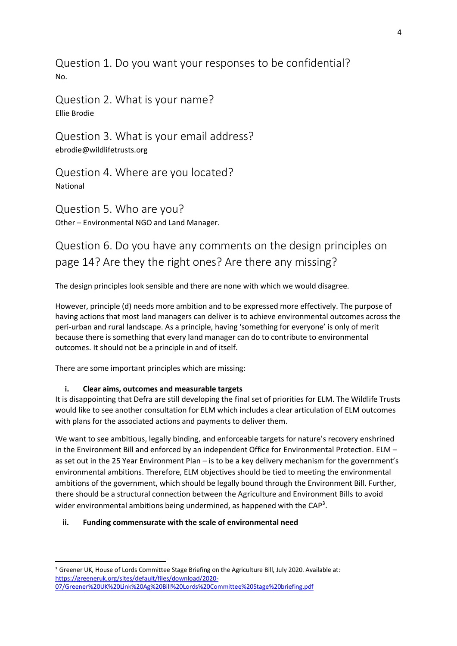<span id="page-3-0"></span>Question 1. Do you want your responses to be confidential? No.

<span id="page-3-1"></span>Question 2. What is your name? Ellie Brodie

<span id="page-3-2"></span>Question 3. What is your email address? [ebrodie@wildlifetrusts.org](mailto:ebrodie@wildlifetrusts.org)

<span id="page-3-3"></span>Question 4. Where are you located? National

<span id="page-3-4"></span>Question 5. Who are you? Other – Environmental NGO and Land Manager.

# <span id="page-3-5"></span>Question 6. Do you have any comments on the design principles on page 14? Are they the right ones? Are there any missing?

The design principles look sensible and there are none with which we would disagree.

However, principle (d) needs more ambition and to be expressed more effectively. The purpose of having actions that most land managers can deliver is to achieve environmental outcomes across the peri-urban and rural landscape. As a principle, having 'something for everyone' is only of merit because there is something that every land manager can do to contribute to environmental outcomes. It should not be a principle in and of itself.

There are some important principles which are missing:

### **i. Clear aims, outcomes and measurable targets**

It is disappointing that Defra are still developing the final set of priorities for ELM. The Wildlife Trusts would like to see another consultation for ELM which includes a clear articulation of ELM outcomes with plans for the associated actions and payments to deliver them.

We want to see ambitious, legally binding, and enforceable targets for nature's recovery enshrined in the Environment Bill and enforced by an independent Office for Environmental Protection. ELM – as set out in the 25 Year Environment Plan – is to be a key delivery mechanism for the government's environmental ambitions. Therefore, ELM objectives should be tied to meeting the environmental ambitions of the government, which should be legally bound through the Environment Bill. Further, there should be [a structural connection between the Agriculture and Environment Bills](https://greeneruk.org/sites/default/files/download/2020-07/Greener%20UK%20Link%20Ag%20Bill%20Lords%20Committee%20Stage%20briefing.pdf) to avoid wider environmental ambitions being undermined, as happened with the CAP<sup>3</sup>.

### **ii. Funding commensurate with the scale of environmental need**

<sup>3</sup> Greener UK, House of Lords Committee Stage Briefing on the Agriculture Bill, July 2020. Available at: [https://greeneruk.org/sites/default/files/download/2020-](https://greeneruk.org/sites/default/files/download/2020-07/Greener%20UK%20Link%20Ag%20Bill%20Lords%20Committee%20Stage%20briefing.pdf) [07/Greener%20UK%20Link%20Ag%20Bill%20Lords%20Committee%20Stage%20briefing.pdf](https://greeneruk.org/sites/default/files/download/2020-07/Greener%20UK%20Link%20Ag%20Bill%20Lords%20Committee%20Stage%20briefing.pdf)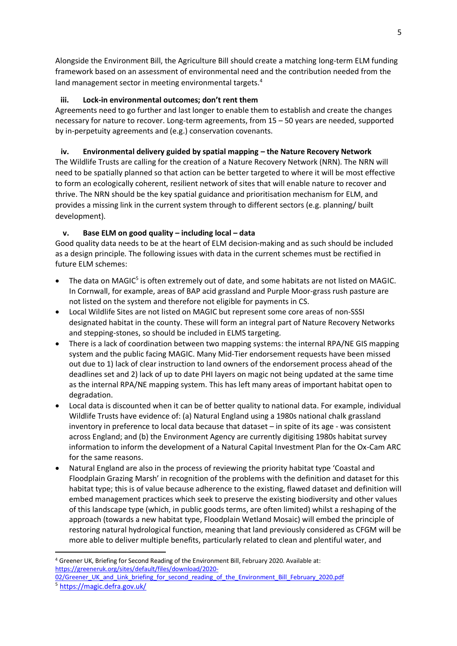Alongside the Environment Bill, the Agriculture Bill should create a matching long-term ELM funding framework based on an assessment of environmental need and the contribution needed from the land management sector in meeting environmental targets.<sup>4</sup>

## **iii. Lock-in environmental outcomes; don't rent them**

Agreements need to go further and last longer to enable them to establish and create the changes necessary for nature to recover. Long-term agreements, from 15 – 50 years are needed, supported by in-perpetuity agreements and (e.g.) conservation covenants.

# **iv. Environmental delivery guided by spatial mapping – the Nature Recovery Network**

The Wildlife Trusts are calling for the creation of a Nature Recovery Network (NRN). The NRN will need to be spatially planned so that action can be better targeted to where it will be most effective to form an ecologically coherent, resilient network of sites that will enable nature to recover and thrive. The NRN should be the key spatial guidance and prioritisation mechanism for ELM, and provides a missing link in the current system through to different sectors (e.g. planning/ built development).

# **v. Base ELM on good quality – including local – data**

Good quality data needs to be at the heart of ELM decision-making and as such should be included as a design principle. The following issues with data in the current schemes must be rectified in future ELM schemes:

- The data on MAGIC<sup>5</sup> is often extremely out of date, and some habitats are not listed on MAGIC. In Cornwall, for example, areas of BAP acid grassland and Purple Moor-grass rush pasture are not listed on the system and therefore not eligible for payments in CS.
- Local Wildlife Sites are not listed on MAGIC but represent some core areas of non-SSSI designated habitat in the county. These will form an integral part of Nature Recovery Networks and stepping-stones, so should be included in ELMS targeting.
- There is a lack of coordination between two mapping systems: the internal RPA/NE GIS mapping system and the public facing MAGIC. Many Mid-Tier endorsement requests have been missed out due to 1) lack of clear instruction to land owners of the endorsement process ahead of the deadlines set and 2) lack of up to date PHI layers on magic not being updated at the same time as the internal RPA/NE mapping system. This has left many areas of important habitat open to degradation.
- Local data is discounted when it can be of better quality to national data. For example, individual Wildlife Trusts have evidence of: (a) Natural England using a 1980s national chalk grassland inventory in preference to local data because that dataset – in spite of its age - was consistent across England; and (b) the Environment Agency are currently digitising 1980s habitat survey information to inform the development of a Natural Capital Investment Plan for the Ox-Cam ARC for the same reasons.
- Natural England are also in the process of reviewing the priority habitat type 'Coastal and Floodplain Grazing Marsh' in recognition of the problems with the definition and dataset for this habitat type; this is of value because adherence to the existing, flawed dataset and definition will embed management practices which seek to preserve the existing biodiversity and other values of this landscape type (which, in public goods terms, are often limited) whilst a reshaping of the approach (towards a new habitat type, Floodplain Wetland Mosaic) will embed the principle of restoring natural hydrological function, meaning that land previously considered as CFGM will be more able to deliver multiple benefits, particularly related to clean and plentiful water, and

<sup>4</sup> Greener UK, Briefing for Second Reading of the Environment Bill, February 2020. Available at: [https://greeneruk.org/sites/default/files/download/2020-](https://greeneruk.org/sites/default/files/download/2020-02/Greener_UK_and_Link_briefing_for_second_reading_of_the_Environment_Bill_February_2020.pdf)

[<sup>02/</sup>Greener\\_UK\\_and\\_Link\\_briefing\\_for\\_second\\_reading\\_of\\_the\\_Environment\\_Bill\\_February\\_2020.pdf](https://greeneruk.org/sites/default/files/download/2020-02/Greener_UK_and_Link_briefing_for_second_reading_of_the_Environment_Bill_February_2020.pdf) <sup>5</sup> <https://magic.defra.gov.uk/>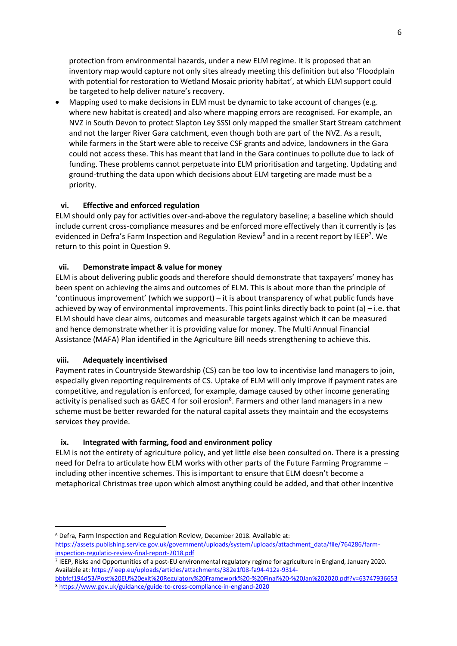protection from environmental hazards, under a new ELM regime. It is proposed that an inventory map would capture not only sites already meeting this definition but also 'Floodplain with potential for restoration to Wetland Mosaic priority habitat', at which ELM support could be targeted to help deliver nature's recovery.

• Mapping used to make decisions in ELM must be dynamic to take account of changes (e.g. where new habitat is created) and also where mapping errors are recognised. For example, an NVZ in South Devon to protect Slapton Ley SSSI only mapped the smaller Start Stream catchment and not the larger River Gara catchment, even though both are part of the NVZ. As a result, while farmers in the Start were able to receive CSF grants and advice, landowners in the Gara could not access these. This has meant that land in the Gara continues to pollute due to lack of funding. These problems cannot perpetuate into ELM prioritisation and targeting. Updating and ground-truthing the data upon which decisions about ELM targeting are made must be a priority.

### **vi. Effective and enforced regulation**

ELM should only pay for activities over-and-above the regulatory baseline; a baseline which should include current cross-compliance measures and be enforced more effectively than it currently is (as evidenced in Defra's Farm Inspection and Regulation Review<sup>6</sup> and in a recent report by IEEP<sup>7</sup>. We return to this point in Question 9.

### **vii. Demonstrate impact & value for money**

ELM is about delivering public goods and therefore should demonstrate that taxpayers' money has been spent on achieving the aims and outcomes of ELM. This is about more than the principle of 'continuous improvement' (which we support) – it is about transparency of what public funds have achieved by way of environmental improvements. This point links directly back to point (a) – i.e. that ELM should have clear aims, outcomes and measurable targets against which it can be measured and hence demonstrate whether it is providing value for money. The Multi Annual Financial Assistance (MAFA) Plan identified in the Agriculture Bill needs strengthening to achieve this.

### **viii. Adequately incentivised**

Payment rates in Countryside Stewardship (CS) can be too low to incentivise land managers to join, especially given reporting requirements of CS. Uptake of ELM will only improve if payment rates are competitive, and regulation is enforced, for example, damage caused by other income generating activity is penalised such as GAEC 4 for soil erosion<sup>8</sup>. Farmers and other land managers in a new scheme must be better rewarded for the natural capital assets they maintain and the ecosystems services they provide.

### **ix. Integrated with farming, food and environment policy**

ELM is not the entirety of agriculture policy, and yet little else been consulted on. There is a pressing need for Defra to articulate how ELM works with other parts of the Future Farming Programme – including other incentive schemes. This is important to ensure that ELM doesn't become a metaphorical Christmas tree upon which almost anything could be added, and that other incentive

<sup>6</sup> Defra, Farm Inspection and Regulation Review, December 2018. Available at: [https://assets.publishing.service.gov.uk/government/uploads/system/uploads/attachment\\_data/file/764286/farm](https://assets.publishing.service.gov.uk/government/uploads/system/uploads/attachment_data/file/764286/farm-inspection-regulatio-review-final-report-2018.pdf)[inspection-regulatio-review-final-report-2018.pdf](https://assets.publishing.service.gov.uk/government/uploads/system/uploads/attachment_data/file/764286/farm-inspection-regulatio-review-final-report-2018.pdf)

<sup>7</sup> IEEP, Risks and Opportunities of a post-EU environmental regulatory regime for agriculture in England, January 2020. Available at: https://ieep.eu/uploads/articles/attachments/382e1f08-fa94-412a-9314-

bbbfcf194d53/Post%20EU%20exit%20Regulatory%20Framework%20-%20Final%20-%20Jan%202020.pdf?v=63747936653 <sup>8</sup> <https://www.gov.uk/guidance/guide-to-cross-compliance-in-england-2020>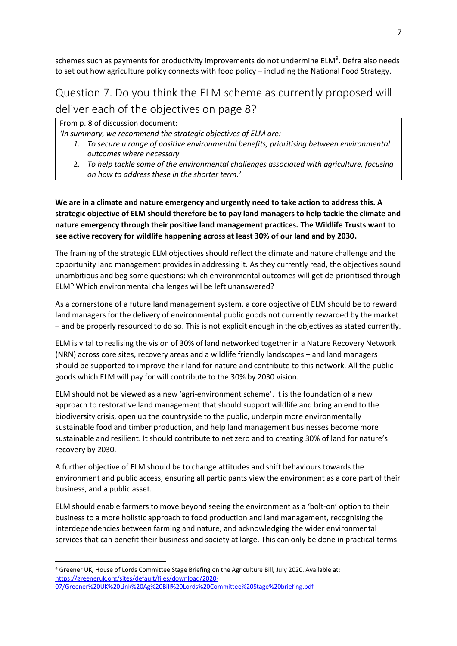schemes such as payments for productivity improvements do not undermine  $ELM<sup>9</sup>$ . Defra also needs to set out how agriculture policy connects with food policy – including the National Food Strategy.

# <span id="page-6-0"></span>Question 7. Do you think the ELM scheme as currently proposed will deliver each of the objectives on page 8?

From p. 8 of discussion document:

*'In summary, we recommend the strategic objectives of ELM are:*

- *1. To secure a range of positive environmental benefits, prioritising between environmental outcomes where necessary*
- 2. *To help tackle some of the environmental challenges associated with agriculture, focusing on how to address these in the shorter term.'*

**We are in a climate and nature emergency and urgently need to take action to address this. A strategic objective of ELM should therefore be to pay land managers to help tackle the climate and nature emergency through their positive land management practices. The Wildlife Trusts want to see active recovery for wildlife happening across at least 30% of our land and by 2030.** 

The framing of the strategic ELM objectives should reflect the climate and nature challenge and the opportunity land management provides in addressing it. As they currently read, the objectives sound unambitious and beg some questions: which environmental outcomes will get de-prioritised through ELM? Which environmental challenges will be left unanswered?

As a cornerstone of a future land management system, a core objective of ELM should be to reward land managers for the delivery of environmental public goods not currently rewarded by the market – and be properly resourced to do so. This is not explicit enough in the objectives as stated currently.

ELM is vital to realising the vision of 30% of land networked together in a Nature Recovery Network (NRN) across core sites, recovery areas and a wildlife friendly landscapes – and land managers should be supported to improve their land for nature and contribute to this network. All the public goods which ELM will pay for will contribute to the 30% by 2030 vision.

ELM should not be viewed as a new 'agri-environment scheme'. It is the foundation of a new approach to restorative land management that should support wildlife and bring an end to the biodiversity crisis, open up the countryside to the public, underpin more environmentally sustainable food and timber production, and help land management businesses become more sustainable and resilient. It should contribute to net zero and to creating 30% of land for nature's recovery by 2030.

A further objective of ELM should be to change attitudes and shift behaviours towards the environment and public access, ensuring all participants view the environment as a core part of their business, and a public asset.

ELM should enable farmers to move beyond seeing the environment as a 'bolt-on' option to their business to a more holistic approach to food production and land management, recognising the interdependencies between farming and nature, and acknowledging the wider environmental services that can benefit their business and society at large. This can only be done in practical terms

<sup>9</sup> Greener UK, House of Lords Committee Stage Briefing on the Agriculture Bill, July 2020. Available at: [https://greeneruk.org/sites/default/files/download/2020-](https://greeneruk.org/sites/default/files/download/2020-07/Greener%20UK%20Link%20Ag%20Bill%20Lords%20Committee%20Stage%20briefing.pdf) [07/Greener%20UK%20Link%20Ag%20Bill%20Lords%20Committee%20Stage%20briefing.pdf](https://greeneruk.org/sites/default/files/download/2020-07/Greener%20UK%20Link%20Ag%20Bill%20Lords%20Committee%20Stage%20briefing.pdf)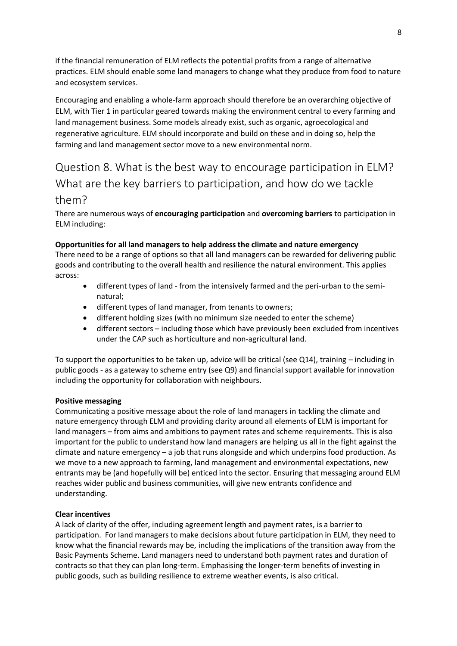if the financial remuneration of ELM reflects the potential profits from a range of alternative practices. ELM should enable some land managers to change what they produce from food to nature and ecosystem services.

Encouraging and enabling a whole-farm approach should therefore be an overarching objective of ELM, with Tier 1 in particular geared towards making the environment central to every farming and land management business. Some models already exist, such as organic, agroecological and regenerative agriculture. ELM should incorporate and build on these and in doing so, help the farming and land management sector move to a new environmental norm.

# <span id="page-7-0"></span>Question 8. What is the best way to encourage participation in ELM? What are the key barriers to participation, and how do we tackle them?

There are numerous ways of **encouraging participation** and **overcoming barriers** to participation in ELM including:

### **Opportunities for all land managers to help address the climate and nature emergency**

There need to be a range of options so that all land managers can be rewarded for delivering public goods and contributing to the overall health and resilience the natural environment. This applies across:

- different types of land from the intensively farmed and the peri-urban to the seminatural;
- different types of land manager, from tenants to owners;
- different holding sizes (with no minimum size needed to enter the scheme)
- different sectors including those which have previously been excluded from incentives under the CAP such as horticulture and non-agricultural land.

To support the opportunities to be taken up, advice will be critical (see Q14), training – including in public goods - as a gateway to scheme entry (see Q9) and financial support available for innovation including the opportunity for collaboration with neighbours.

### **Positive messaging**

Communicating a positive message about the role of land managers in tackling the climate and nature emergency through ELM and providing clarity around all elements of ELM is important for land managers – from aims and ambitions to payment rates and scheme requirements. This is also important for the public to understand how land managers are helping us all in the fight against the climate and nature emergency – a job that runs alongside and which underpins food production. As we move to a new approach to farming, land management and environmental expectations, new entrants may be (and hopefully will be) enticed into the sector. Ensuring that messaging around ELM reaches wider public and business communities, will give new entrants confidence and understanding.

### **Clear incentives**

A lack of clarity of the offer, including agreement length and payment rates, is a barrier to participation. For land managers to make decisions about future participation in ELM, they need to know what the financial rewards may be, including the implications of the transition away from the Basic Payments Scheme. Land managers need to understand both payment rates and duration of contracts so that they can plan long-term. Emphasising the longer-term benefits of investing in public goods, such as building resilience to extreme weather events, is also critical.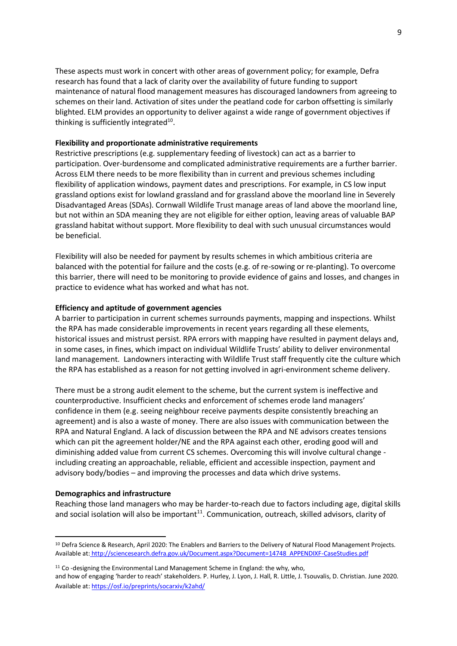These aspects must work in concert with other areas of government policy; for example, Defra research has found that a lack of clarity over the availability of future funding to support maintenance of natural flood management measures has discouraged landowners from agreeing to schemes on their land. Activation of sites under the peatland code for carbon offsetting is similarly blighted. ELM provides an opportunity to deliver against a wide range of government objectives if thinking is sufficiently integrated<sup>10</sup>.

### **Flexibility and proportionate administrative requirements**

Restrictive prescriptions (e.g. supplementary feeding of livestock) can act as a barrier to participation. Over-burdensome and complicated administrative requirements are a further barrier. Across ELM there needs to be more flexibility than in current and previous schemes including flexibility of application windows, payment dates and prescriptions. For example, in CS low input grassland options exist for lowland grassland and for grassland above the moorland line in Severely Disadvantaged Areas (SDAs). Cornwall Wildlife Trust manage areas of land above the moorland line, but not within an SDA meaning they are not eligible for either option, leaving areas of valuable BAP grassland habitat without support. More flexibility to deal with such unusual circumstances would be beneficial.

Flexibility will also be needed for payment by results schemes in which ambitious criteria are balanced with the potential for failure and the costs (e.g. of re-sowing or re-planting). To overcome this barrier, there will need to be monitoring to provide evidence of gains and losses, and changes in practice to evidence what has worked and what has not.

#### **Efficiency and aptitude of government agencies**

A barrier to participation in current schemes surrounds payments, mapping and inspections. Whilst the RPA has made considerable improvements in recent years regarding all these elements, historical issues and mistrust persist. RPA errors with mapping have resulted in payment delays and, in some cases, in fines, which impact on individual Wildlife Trusts' ability to deliver environmental land management. Landowners interacting with Wildlife Trust staff frequently cite the culture which the RPA has established as a reason for not getting involved in agri-environment scheme delivery.

There must be a strong audit element to the scheme, but the current system is ineffective and counterproductive. Insufficient checks and enforcement of schemes erode land managers' confidence in them (e.g. seeing neighbour receive payments despite consistently breaching an agreement) and is also a waste of money. There are also issues with communication between the RPA and Natural England. A lack of discussion between the RPA and NE advisors creates tensions which can pit the agreement holder/NE and the RPA against each other, eroding good will and diminishing added value from current CS schemes. Overcoming this will involve cultural change including creating an approachable, reliable, efficient and accessible inspection, payment and advisory body/bodies – and improving the processes and data which drive systems.

### **Demographics and infrastructure**

Reaching those land managers who may be harder-to-reach due to factors including age, digital skills and social isolation will also be important<sup>11</sup>. Communication, outreach, skilled advisors, clarity of

<sup>&</sup>lt;sup>10</sup> Defra Science & Research, April 2020: The Enablers and Barriers to the Delivery of Natural Flood Management Projects. Available at: [http://sciencesearch.defra.gov.uk/Document.aspx?Document=14748\\_APPENDIXF-CaseStudies.pdf](http://sciencesearch.defra.gov.uk/Document.aspx?Document=14748_APPENDIXF-CaseStudies.pdf)

<sup>&</sup>lt;sup>11</sup> Co-designing the Environmental Land Management Scheme in England: the why, who,

and how of engaging 'harder to reach' stakeholders. P. Hurley, J. Lyon, J. Hall, R. Little, J. Tsouvalis, D. Christian. June 2020. Available at[: https://osf.io/preprints/socarxiv/k2ahd/](https://osf.io/preprints/socarxiv/k2ahd/)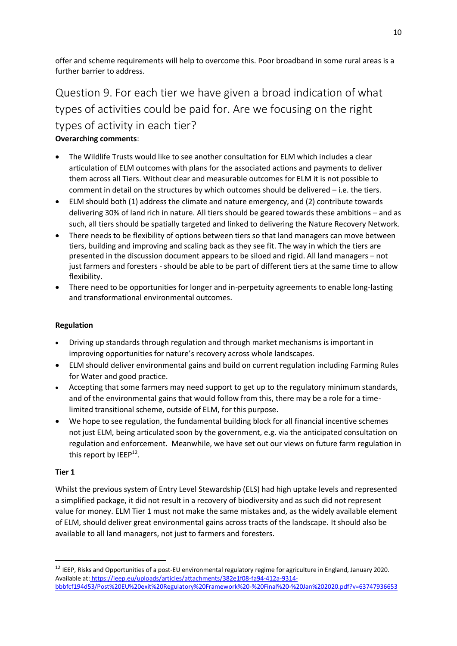offer and scheme requirements will help to overcome this. Poor broadband in some rural areas is a further barrier to address.

# <span id="page-9-0"></span>Question 9. For each tier we have given a broad indication of what types of activities could be paid for. Are we focusing on the right types of activity in each tier? **Overarching comments**:

- The Wildlife Trusts would like to see another consultation for ELM which includes a clear articulation of ELM outcomes with plans for the associated actions and payments to deliver them across all Tiers. Without clear and measurable outcomes for ELM it is not possible to comment in detail on the structures by which outcomes should be delivered – i.e. the tiers.
- ELM should both (1) address the climate and nature emergency, and (2) contribute towards delivering 30% of land rich in nature. All tiers should be geared towards these ambitions – and as such, all tiers should be spatially targeted and linked to delivering the Nature Recovery Network.
- There needs to be flexibility of options between tiers so that land managers can move between tiers, building and improving and scaling back as they see fit. The way in which the tiers are presented in the discussion document appears to be siloed and rigid. All land managers – not just farmers and foresters - should be able to be part of different tiers at the same time to allow flexibility.
- There need to be opportunities for longer and in-perpetuity agreements to enable long-lasting and transformational environmental outcomes.

# **Regulation**

- Driving up standards through regulation and through market mechanisms is important in improving opportunities for nature's recovery across whole landscapes.
- ELM should deliver environmental gains and build on current regulation including Farming Rules for Water and good practice.
- Accepting that some farmers may need support to get up to the regulatory minimum standards, and of the environmental gains that would follow from this, there may be a role for a timelimited transitional scheme, outside of ELM, for this purpose.
- We hope to see regulation, the fundamental building block for all financial incentive schemes not just ELM, being articulated soon by the government, e.g. via the anticipated consultation on regulation and enforcement. Meanwhile, we have set out our views on future farm regulation in this report by IEEP<sup>12</sup>.

### **Tier 1**

Whilst the previous system of Entry Level Stewardship (ELS) had high uptake levels and represented a simplified package, it did not result in a recovery of biodiversity and as such did not represent value for money. ELM Tier 1 must not make the same mistakes and, as the widely available element of ELM, should deliver great environmental gains across tracts of the landscape. It should also be available to all land managers, not just to farmers and foresters.

 $12$  IEEP, Risks and Opportunities of a post-EU environmental regulatory regime for agriculture in England, January 2020. Available at: https://ieep.eu/uploads/articles/attachments/382e1f08-fa94-412a-9314 bbbfcf194d53/Post%20EU%20exit%20Regulatory%20Framework%20-%20Final%20-%20Jan%202020.pdf?v=63747936653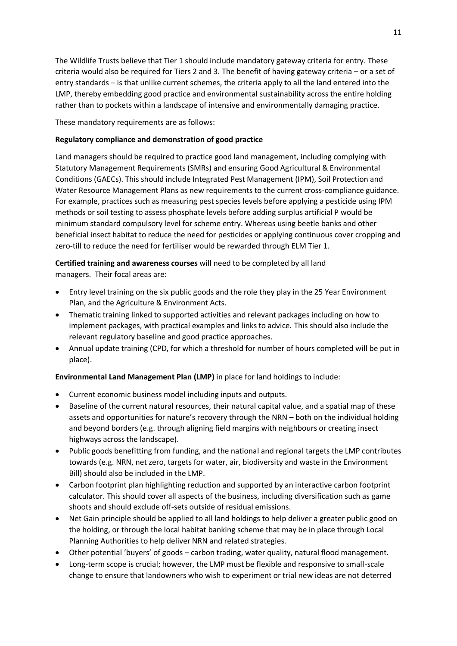The Wildlife Trusts believe that Tier 1 should include mandatory gateway criteria for entry. These criteria would also be required for Tiers 2 and 3. The benefit of having gateway criteria – or a set of entry standards – is that unlike current schemes, the criteria apply to all the land entered into the LMP, thereby embedding good practice and environmental sustainability across the entire holding rather than to pockets within a landscape of intensive and environmentally damaging practice.

These mandatory requirements are as follows:

### **Regulatory compliance and demonstration of good practice**

Land managers should be required to practice good land management, including complying with Statutory Management Requirements (SMRs) and ensuring Good Agricultural & Environmental Conditions (GAECs). This should include Integrated Pest Management (IPM), Soil Protection and Water Resource Management Plans as new requirements to the current cross-compliance guidance. For example, practices such as measuring pest species levels before applying a pesticide using IPM methods or soil testing to assess phosphate levels before adding surplus artificial P would be minimum standard compulsory level for scheme entry. Whereas using beetle banks and other beneficial insect habitat to reduce the need for pesticides or applying continuous cover cropping and zero-till to reduce the need for fertiliser would be rewarded through ELM Tier 1.

# **Certified training and awareness courses** will need to be completed by all land managers. Their focal areas are:

- Entry level training on the six public goods and the role they play in the 25 Year Environment Plan, and the Agriculture & Environment Acts.
- Thematic training linked to supported activities and relevant packages including on how to implement packages, with practical examples and links to advice. This should also include the relevant regulatory baseline and good practice approaches.
- Annual update training (CPD, for which a threshold for number of hours completed will be put in place).

### **Environmental Land Management Plan (LMP)** in place for land holdings to include:

- Current economic business model including inputs and outputs.
- Baseline of the current natural resources, their natural capital value, and a spatial map of these assets and opportunities for nature's recovery through the NRN – both on the individual holding and beyond borders (e.g. through aligning field margins with neighbours or creating insect highways across the landscape).
- Public goods benefitting from funding, and the national and regional targets the LMP contributes towards (e.g. NRN, net zero, targets for water, air, biodiversity and waste in the Environment Bill) should also be included in the LMP.
- Carbon footprint plan highlighting reduction and supported by an interactive carbon footprint calculator. This should cover all aspects of the business, including diversification such as game shoots and should exclude off-sets outside of residual emissions.
- Net Gain principle should be applied to all land holdings to help deliver a greater public good on the holding, or through the local habitat banking scheme that may be in place through Local Planning Authorities to help deliver NRN and related strategies.
- Other potential 'buyers' of goods carbon trading, water quality, natural flood management.
- Long-term scope is crucial; however, the LMP must be flexible and responsive to small-scale change to ensure that landowners who wish to experiment or trial new ideas are not deterred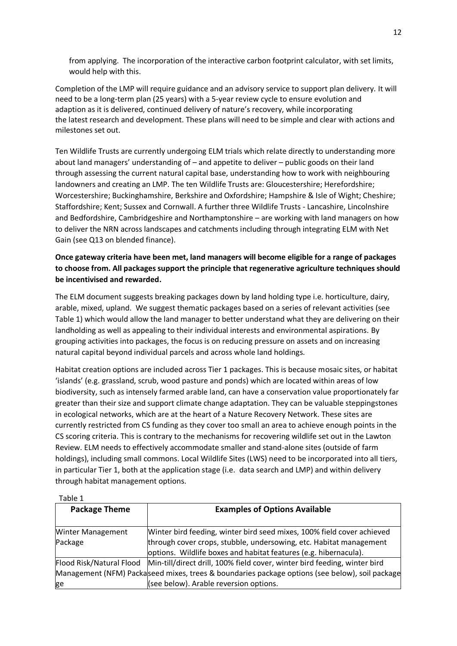from applying. The incorporation of the interactive carbon footprint calculator, with set limits, would help with this.

Completion of the LMP will require guidance and an advisory service to support plan delivery. It will need to be a long-term plan (25 years) with a 5-year review cycle to ensure evolution and adaption as it is delivered, continued delivery of nature's recovery, while incorporating the latest research and development. These plans will need to be simple and clear with actions and milestones set out.

Ten Wildlife Trusts are currently undergoing ELM trials which relate directly to understanding more about land managers' understanding of – and appetite to deliver – public goods on their land through assessing the current natural capital base, understanding how to work with neighbouring landowners and creating an LMP. The ten Wildlife Trusts are: Gloucestershire; Herefordshire; Worcestershire; Buckinghamshire, Berkshire and Oxfordshire; Hampshire & Isle of Wight; Cheshire; Staffordshire; Kent; Sussex and Cornwall. A further three Wildlife Trusts - Lancashire, Lincolnshire and Bedfordshire, Cambridgeshire and Northamptonshire – are working with land managers on how to deliver the NRN across landscapes and catchments including through integrating ELM with Net Gain (see Q13 on blended finance).

# **Once gateway criteria have been met, land managers will become eligible for a range of packages to choose from. All packages support the principle that regenerative agriculture techniques should be incentivised and rewarded.**

The ELM document suggests breaking packages down by land holding type i.e. horticulture, dairy, arable, mixed, upland. We suggest thematic packages based on a series of relevant activities (see Table 1) which would allow the land manager to better understand what they are delivering on their landholding as well as appealing to their individual interests and environmental aspirations. By grouping activities into packages, the focus is on reducing pressure on assets and on increasing natural capital beyond individual parcels and across whole land holdings.

Habitat creation options are included across Tier 1 packages. This is because mosaic sites, or habitat 'islands' (e.g. grassland, scrub, wood pasture and ponds) which are located within areas of low biodiversity, such as intensely farmed arable land, can have a conservation value proportionately far greater than their size and support climate change adaptation. They can be valuable steppingstones in ecological networks, which are at the heart of a Nature Recovery Network. These sites are currently restricted from CS funding as they cover too small an area to achieve enough points in the CS scoring criteria. This is contrary to the mechanisms for recovering wildlife set out in the Lawton Review. ELM needs to effectively accommodate smaller and stand-alone sites (outside of farm holdings), including small commons. Local Wildlife Sites (LWS) need to be incorporated into all tiers, in particular Tier 1, both at the application stage (i.e. data search and LMP) and within delivery through habitat management options.

Table 1

| .                                                                                              |                                                                                                      |  |  |
|------------------------------------------------------------------------------------------------|------------------------------------------------------------------------------------------------------|--|--|
| <b>Package Theme</b>                                                                           | <b>Examples of Options Available</b>                                                                 |  |  |
| <b>Winter Management</b>                                                                       | Winter bird feeding, winter bird seed mixes, 100% field cover achieved                               |  |  |
| Package                                                                                        | through cover crops, stubble, undersowing, etc. Habitat management                                   |  |  |
|                                                                                                | options. Wildlife boxes and habitat features (e.g. hibernacula).                                     |  |  |
|                                                                                                | Flood Risk/Natural Flood   Min-till/direct drill, 100% field cover, winter bird feeding, winter bird |  |  |
| Management (NFM) Packaseed mixes, trees & boundaries package options (see below), soil package |                                                                                                      |  |  |
| ge                                                                                             | (see below). Arable reversion options.                                                               |  |  |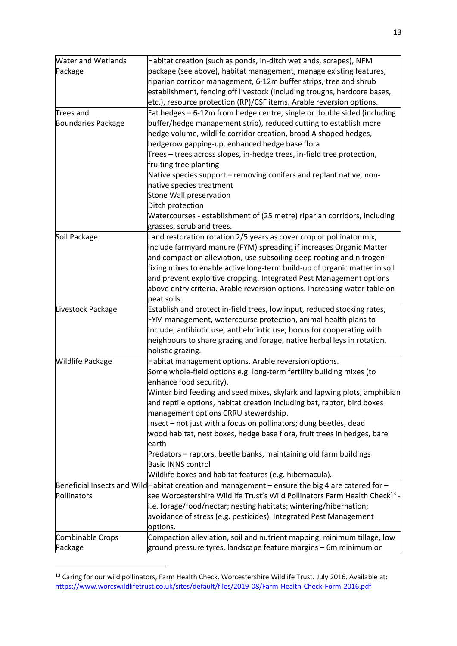| <b>Water and Wetlands</b> | Habitat creation (such as ponds, in-ditch wetlands, scrapes), NFM                                |  |  |  |
|---------------------------|--------------------------------------------------------------------------------------------------|--|--|--|
| Package                   | package (see above), habitat management, manage existing features,                               |  |  |  |
|                           | riparian corridor management, 6-12m buffer strips, tree and shrub                                |  |  |  |
|                           | establishment, fencing off livestock (including troughs, hardcore bases,                         |  |  |  |
|                           | etc.), resource protection (RP)/CSF items. Arable reversion options.                             |  |  |  |
| Trees and                 | Fat hedges – 6-12m from hedge centre, single or double sided (including                          |  |  |  |
| <b>Boundaries Package</b> | buffer/hedge management strip), reduced cutting to establish more                                |  |  |  |
|                           | hedge volume, wildlife corridor creation, broad A shaped hedges,                                 |  |  |  |
|                           | hedgerow gapping-up, enhanced hedge base flora                                                   |  |  |  |
|                           | Trees - trees across slopes, in-hedge trees, in-field tree protection,                           |  |  |  |
|                           | fruiting tree planting                                                                           |  |  |  |
|                           | Native species support – removing conifers and replant native, non-                              |  |  |  |
|                           | native species treatment                                                                         |  |  |  |
|                           | Stone Wall preservation                                                                          |  |  |  |
|                           | Ditch protection                                                                                 |  |  |  |
|                           | Watercourses - establishment of (25 metre) riparian corridors, including                         |  |  |  |
|                           | grasses, scrub and trees.                                                                        |  |  |  |
| Soil Package              |                                                                                                  |  |  |  |
|                           | Land restoration rotation 2/5 years as cover crop or pollinator mix,                             |  |  |  |
|                           | include farmyard manure (FYM) spreading if increases Organic Matter                              |  |  |  |
|                           | and compaction alleviation, use subsoiling deep rooting and nitrogen-                            |  |  |  |
|                           | fixing mixes to enable active long-term build-up of organic matter in soil                       |  |  |  |
|                           | and prevent exploitive cropping. Integrated Pest Management options                              |  |  |  |
|                           | above entry criteria. Arable reversion options. Increasing water table on                        |  |  |  |
|                           | peat soils.                                                                                      |  |  |  |
| Livestock Package         | Establish and protect in-field trees, low input, reduced stocking rates,                         |  |  |  |
|                           | FYM management, watercourse protection, animal health plans to                                   |  |  |  |
|                           | include; antibiotic use, anthelmintic use, bonus for cooperating with                            |  |  |  |
|                           | neighbours to share grazing and forage, native herbal leys in rotation,                          |  |  |  |
|                           | holistic grazing.                                                                                |  |  |  |
| Wildlife Package          | Habitat management options. Arable reversion options.                                            |  |  |  |
|                           | Some whole-field options e.g. long-term fertility building mixes (to                             |  |  |  |
|                           | enhance food security).                                                                          |  |  |  |
|                           | Winter bird feeding and seed mixes, skylark and lapwing plots, amphibian                         |  |  |  |
|                           | and reptile options, habitat creation including bat, raptor, bird boxes                          |  |  |  |
|                           | management options CRRU stewardship.                                                             |  |  |  |
|                           | Insect - not just with a focus on pollinators; dung beetles, dead                                |  |  |  |
|                           | wood habitat, nest boxes, hedge base flora, fruit trees in hedges, bare                          |  |  |  |
|                           | earth                                                                                            |  |  |  |
|                           | Predators – raptors, beetle banks, maintaining old farm buildings                                |  |  |  |
|                           | <b>Basic INNS control</b>                                                                        |  |  |  |
|                           | Wildlife boxes and habitat features (e.g. hibernacula).                                          |  |  |  |
|                           | Beneficial Insects and Wild Habitat creation and management – ensure the big 4 are catered for – |  |  |  |
| Pollinators               | see Worcestershire Wildlife Trust's Wild Pollinators Farm Health Check <sup>13</sup> -           |  |  |  |
|                           | i.e. forage/food/nectar; nesting habitats; wintering/hibernation;                                |  |  |  |
|                           | avoidance of stress (e.g. pesticides). Integrated Pest Management                                |  |  |  |
|                           | options.                                                                                         |  |  |  |
| Combinable Crops          |                                                                                                  |  |  |  |
|                           | Compaction alleviation, soil and nutrient mapping, minimum tillage, low                          |  |  |  |
| Package                   | ground pressure tyres, landscape feature margins - 6m minimum on                                 |  |  |  |

<sup>&</sup>lt;sup>13</sup> Caring for our wild pollinators, Farm Health Check. Worcestershire Wildlife Trust. July 2016. Available at: <https://www.worcswildlifetrust.co.uk/sites/default/files/2019-08/Farm-Health-Check-Form-2016.pdf>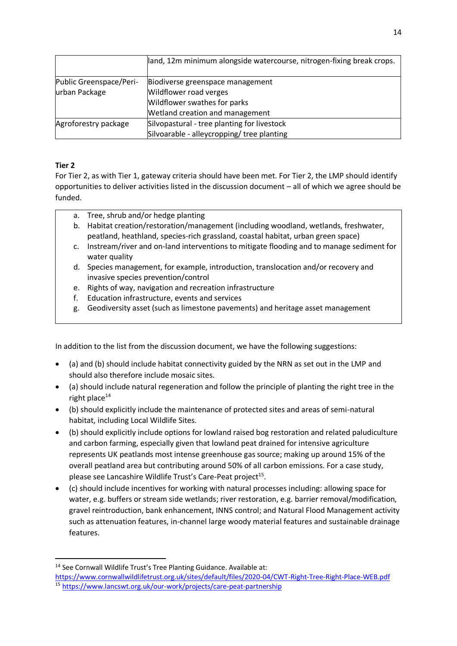|                         | land, 12m minimum alongside watercourse, nitrogen-fixing break crops. |  |  |
|-------------------------|-----------------------------------------------------------------------|--|--|
| Public Greenspace/Peri- | Biodiverse greenspace management                                      |  |  |
| urban Package           | Wildflower road verges                                                |  |  |
|                         | Wildflower swathes for parks                                          |  |  |
|                         | Wetland creation and management                                       |  |  |
| Agroforestry package    | Silvopastural - tree planting for livestock                           |  |  |
|                         | Silvoarable - alleycropping/ tree planting                            |  |  |

# **Tier 2**

For Tier 2, as with Tier 1, gateway criteria should have been met. For Tier 2, the LMP should identify opportunities to deliver activities listed in the discussion document – all of which we agree should be funded.

- a. Tree, shrub and/or hedge planting
- b. Habitat creation/restoration/management (including woodland, wetlands, freshwater, peatland, heathland, species-rich grassland, coastal habitat, urban green space)
- c. Instream/river and on-land interventions to mitigate flooding and to manage sediment for water quality
- d. Species management, for example, introduction, translocation and/or recovery and invasive species prevention/control
- e. Rights of way, navigation and recreation infrastructure
- f. Education infrastructure, events and services
- g. Geodiversity asset (such as limestone pavements) and heritage asset management

In addition to the list from the discussion document, we have the following suggestions:

- (a) and (b) should include habitat connectivity guided by the NRN as set out in the LMP and should also therefore include mosaic sites.
- (a) should include natural regeneration and follow the principle of planting the right tree in the right place $^{14}$
- (b) should explicitly include the maintenance of protected sites and areas of semi-natural habitat, including Local Wildlife Sites.
- (b) should explicitly include options for lowland raised bog restoration and related paludiculture and carbon farming, especially given that lowland peat drained for intensive agriculture represents UK peatlands most intense greenhouse gas source; making up around 15% of the overall peatland area but contributing around 50% of all carbon emissions. For a case study, please see Lancashire Wildlife Trust's Care-Peat project<sup>15</sup>.
- (c) should include incentives for working with natural processes including: allowing space for water, e.g. buffers or stream side wetlands; river restoration, e.g. barrier removal/modification, gravel reintroduction, bank enhancement, INNS control; and Natural Flood Management activity such as attenuation features, in-channel large woody material features and sustainable drainage features.

<sup>&</sup>lt;sup>14</sup> See Cornwall Wildlife Trust's Tree Planting Guidance. Available at:

<https://www.cornwallwildlifetrust.org.uk/sites/default/files/2020-04/CWT-Right-Tree-Right-Place-WEB.pdf> 15 <https://www.lancswt.org.uk/our-work/projects/care-peat-partnership>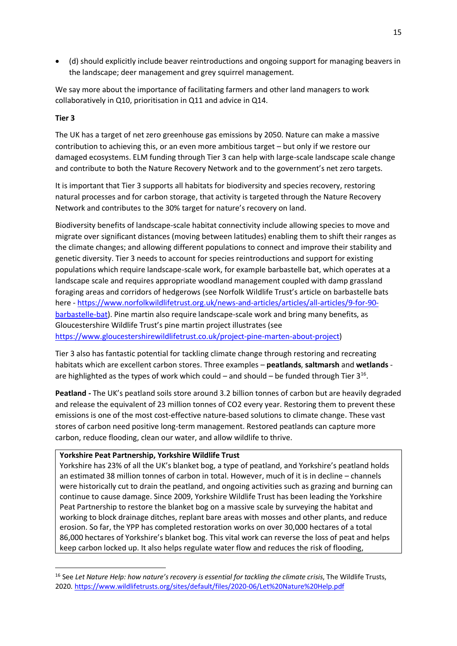• (d) should explicitly include beaver reintroductions and ongoing support for managing beavers in the landscape; deer management and grey squirrel management.

We say more about the importance of facilitating farmers and other land managers to work collaboratively in Q10, prioritisation in Q11 and advice in Q14.

### **Tier 3**

The UK has a target of net zero greenhouse gas emissions by 2050. Nature can make a massive contribution to achieving this, or an even more ambitious target – but only if we restore our damaged ecosystems. ELM funding through Tier 3 can help with large-scale landscape scale change and contribute to both the Nature Recovery Network and to the government's net zero targets.

It is important that Tier 3 supports all habitats for biodiversity and species recovery, restoring natural processes and for carbon storage, that activity is targeted through the Nature Recovery Network and contributes to the 30% target for nature's recovery on land.

Biodiversity benefits of landscape-scale habitat connectivity include allowing species to move and migrate over significant distances (moving between latitudes) enabling them to shift their ranges as the climate changes; and allowing different populations to connect and improve their stability and genetic diversity. Tier 3 needs to account for species reintroductions and support for existing populations which require landscape-scale work, for example barbastelle bat, which operates at a landscape scale and requires appropriate woodland management coupled with damp grassland foraging areas and corridors of hedgerows (see Norfolk Wildlife Trust's article on barbastelle bats here - [https://www.norfolkwildlifetrust.org.uk/news-and-articles/articles/all-articles/9-for-90](https://www.norfolkwildlifetrust.org.uk/news-and-articles/articles/all-articles/9-for-90-barbastelle-bat) [barbastelle-bat\)](https://www.norfolkwildlifetrust.org.uk/news-and-articles/articles/all-articles/9-for-90-barbastelle-bat). Pine martin also require landscape-scale work and bring many benefits, as Gloucestershire Wildlife Trust's pine martin project illustrates (see [https://www.gloucestershirewildlifetrust.co.uk/project-pine-marten-about-project\)](https://www.gloucestershirewildlifetrust.co.uk/project-pine-marten-about-project)

Tier 3 also has fantastic potential for tackling climate change through restoring and recreating habitats which are excellent carbon stores. Three examples – **peatlands**, **saltmarsh** and **wetlands** are highlighted as the types of work which could  $-$  and should  $-$  be funded through Tier  $3^{16}$ .

**Peatland -** The UK's peatland soils store around 3.2 billion tonnes of carbon but are heavily degraded and release the equivalent of 23 million tonnes of CO2 every year. Restoring them to prevent these emissions is one of the most cost-effective nature-based solutions to climate change. These vast stores of carbon need positive long-term management. Restored peatlands can capture more carbon, reduce flooding, clean our water, and allow wildlife to thrive.

### **Yorkshire Peat Partnership, Yorkshire Wildlife Trust**

Yorkshire has 23% of all the UK's blanket bog, a type of peatland, and Yorkshire's peatland holds an estimated 38 million tonnes of carbon in total. However, much of it is in decline – channels were historically cut to drain the peatland, and ongoing activities such as grazing and burning can continue to cause damage. Since 2009, Yorkshire Wildlife Trust has been leading the Yorkshire Peat Partnership to restore the blanket bog on a massive scale by surveying the habitat and working to block drainage ditches, replant bare areas with mosses and other plants, and reduce erosion. So far, the YPP has completed restoration works on over 30,000 hectares of a total 86,000 hectares of Yorkshire's blanket bog. This vital work can reverse the loss of peat and helps keep carbon locked up. It also helps regulate water flow and reduces the risk of flooding,

<sup>16</sup> See *Let Nature Help: how nature's recovery is essential for tackling the climate crisis*, The Wildlife Trusts, 2020.<https://www.wildlifetrusts.org/sites/default/files/2020-06/Let%20Nature%20Help.pdf>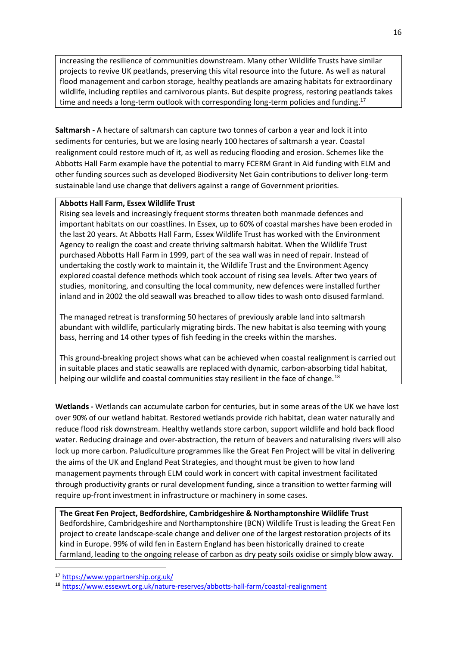increasing the resilience of communities downstream. Many other Wildlife Trusts have similar projects to revive UK peatlands, preserving this vital resource into the future. As well as natural flood management and carbon storage, healthy peatlands are amazing habitats for extraordinary wildlife, including reptiles and carnivorous plants. But despite progress, restoring peatlands takes time and needs a long-term outlook with corresponding long-term policies and funding.<sup>17</sup>

**Saltmarsh -** A hectare of saltmarsh can capture two tonnes of carbon a year and lock it into sediments for centuries, but we are losing nearly 100 hectares of saltmarsh a year. Coastal realignment could restore much of it, as well as reducing flooding and erosion. Schemes like the Abbotts Hall Farm example have the potential to marry FCERM Grant in Aid funding with ELM and other funding sources such as developed Biodiversity Net Gain contributions to deliver long-term sustainable land use change that delivers against a range of Government priorities.

### **Abbotts Hall Farm, Essex Wildlife Trust**

Rising sea levels and increasingly frequent storms threaten both manmade defences and important habitats on our coastlines. In Essex, up to 60% of coastal marshes have been eroded in the last 20 years. At Abbotts Hall Farm, Essex Wildlife Trust has worked with the Environment Agency to realign the coast and create thriving saltmarsh habitat. When the Wildlife Trust purchased Abbotts Hall Farm in 1999, part of the sea wall was in need of repair. Instead of undertaking the costly work to maintain it, the Wildlife Trust and the Environment Agency explored coastal defence methods which took account of rising sea levels. After two years of studies, monitoring, and consulting the local community, new defences were installed further inland and in 2002 the old seawall was breached to allow tides to wash onto disused farmland.

The managed retreat is transforming 50 hectares of previously arable land into saltmarsh abundant with wildlife, particularly migrating birds. The new habitat is also teeming with young bass, herring and 14 other types of fish feeding in the creeks within the marshes.

This ground-breaking project shows what can be achieved when coastal realignment is carried out in suitable places and static seawalls are replaced with dynamic, carbon-absorbing tidal habitat, helping our wildlife and coastal communities stay resilient in the face of change.<sup>18</sup>

**Wetlands -** Wetlands can accumulate carbon for centuries, but in some areas of the UK we have lost over 90% of our wetland habitat. Restored wetlands provide rich habitat, clean water naturally and reduce flood risk downstream. Healthy wetlands store carbon, support wildlife and hold back flood water. Reducing drainage and over-abstraction, the return of beavers and naturalising rivers will also lock up more carbon. Paludiculture programmes like the Great Fen Project will be vital in delivering the aims of the UK and England Peat Strategies, and thought must be given to how land management payments through ELM could work in concert with capital investment facilitated through productivity grants or rural development funding, since a transition to wetter farming will require up-front investment in infrastructure or machinery in some cases.

**The Great Fen Project, Bedfordshire, Cambridgeshire & Northamptonshire Wildlife Trust**  Bedfordshire, Cambridgeshire and Northamptonshire (BCN) Wildlife Trust is leading the Great Fen project to create landscape-scale change and deliver one of the largest restoration projects of its kind in Europe. 99% of wild fen in Eastern England has been historically drained to create farmland, leading to the ongoing release of carbon as dry peaty soils oxidise or simply blow away.

<sup>17</sup> <https://www.yppartnership.org.uk/>

<sup>18</sup> <https://www.essexwt.org.uk/nature-reserves/abbotts-hall-farm/coastal-realignment>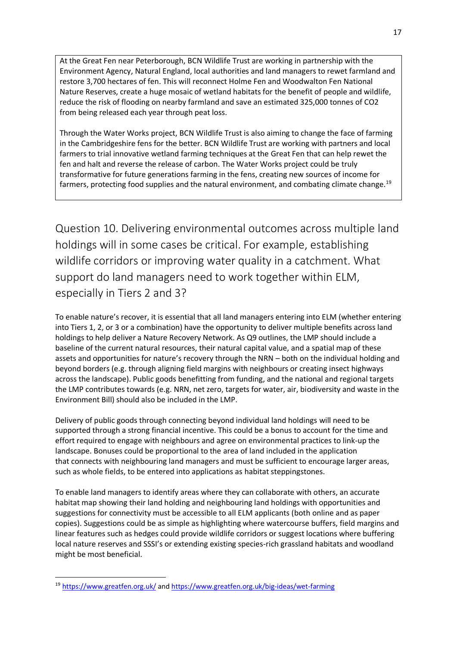At the Great Fen near Peterborough, BCN Wildlife Trust are working in partnership with the Environment Agency, Natural England, local authorities and land managers to rewet farmland and restore 3,700 hectares of fen. This will reconnect Holme Fen and Woodwalton Fen National Nature Reserves, create a huge mosaic of wetland habitats for the benefit of people and wildlife, reduce the risk of flooding on nearby farmland and save an estimated 325,000 tonnes of CO2 from being released each year through peat loss.

Through the Water Works project, BCN Wildlife Trust is also aiming to change the face of farming in the Cambridgeshire fens for the better. BCN Wildlife Trust are working with partners and local farmers to trial innovative wetland farming techniques at the Great Fen that can help rewet the fen and halt and reverse the release of carbon. The Water Works project could be truly transformative for future generations farming in the fens, creating new sources of income for farmers, protecting food supplies and the natural environment, and combating climate change.<sup>19</sup>

<span id="page-16-0"></span>Question 10. Delivering environmental outcomes across multiple land holdings will in some cases be critical. For example, establishing wildlife corridors or improving water quality in a catchment. What support do land managers need to work together within ELM, especially in Tiers 2 and 3?

To enable nature's recover, it is essential that all land managers entering into ELM (whether entering into Tiers 1, 2, or 3 or a combination) have the opportunity to deliver multiple benefits across land holdings to help deliver a Nature Recovery Network. As Q9 outlines, the LMP should include a baseline of the current natural resources, their natural capital value, and a spatial map of these assets and opportunities for nature's recovery through the NRN – both on the individual holding and beyond borders (e.g. through aligning field margins with neighbours or creating insect highways across the landscape). Public goods benefitting from funding, and the national and regional targets the LMP contributes towards (e.g. NRN, net zero, targets for water, air, biodiversity and waste in the Environment Bill) should also be included in the LMP.

Delivery of public goods through connecting beyond individual land holdings will need to be supported through a strong financial incentive. This could be a bonus to account for the time and effort required to engage with neighbours and agree on environmental practices to link-up the landscape. Bonuses could be proportional to the area of land included in the application that connects with neighbouring land managers and must be sufficient to encourage larger areas, such as whole fields, to be entered into applications as habitat steppingstones.

To enable land managers to identify areas where they can collaborate with others, an accurate habitat map showing their land holding and neighbouring land holdings with opportunities and suggestions for connectivity must be accessible to all ELM applicants (both online and as paper copies). Suggestions could be as simple as highlighting where watercourse buffers, field margins and linear features such as hedges could provide wildlife corridors or suggest locations where buffering local nature reserves and SSSI's or extending existing species-rich grassland habitats and woodland might be most beneficial.

<sup>19</sup> <https://www.greatfen.org.uk/> an[d https://www.greatfen.org.uk/big-ideas/wet-farming](https://www.greatfen.org.uk/big-ideas/wet-farming)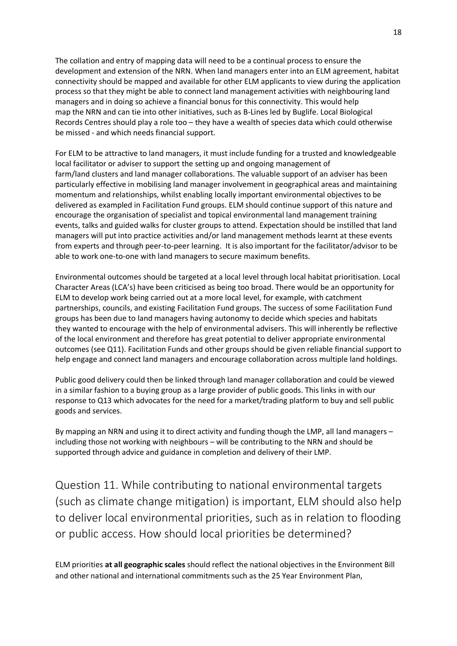The collation and entry of mapping data will need to be a continual process to ensure the development and extension of the NRN. When land managers enter into an ELM agreement, habitat connectivity should be mapped and available for other ELM applicants to view during the application process so that they might be able to connect land management activities with neighbouring land managers and in doing so achieve a financial bonus for this connectivity. This would help map the NRN and can tie into other initiatives, such as B-Lines led by Buglife. Local Biological Records Centres should play a role too – they have a wealth of species data which could otherwise be missed - and which needs financial support.

For ELM to be attractive to land managers, it must include funding for a trusted and knowledgeable local facilitator or adviser to support the setting up and ongoing management of farm/land clusters and land manager collaborations. The valuable support of an adviser has been particularly effective in mobilising land manager involvement in geographical areas and maintaining momentum and relationships, whilst enabling locally important environmental objectives to be delivered as exampled in Facilitation Fund groups. ELM should continue support of this nature and encourage the organisation of specialist and topical environmental land management training events, talks and guided walks for cluster groups to attend. Expectation should be instilled that land managers will put into practice activities and/or land management methods learnt at these events from experts and through peer-to-peer learning. It is also important for the facilitator/advisor to be able to work one-to-one with land managers to secure maximum benefits.

Environmental outcomes should be targeted at a local level through local habitat prioritisation. Local Character Areas (LCA's) have been criticised as being too broad. There would be an opportunity for ELM to develop work being carried out at a more local level, for example, with catchment partnerships, councils, and existing Facilitation Fund groups. The success of some Facilitation Fund groups has been due to land managers having autonomy to decide which species and habitats they wanted to encourage with the help of environmental advisers. This will inherently be reflective of the local environment and therefore has great potential to deliver appropriate environmental outcomes (see Q11). Facilitation Funds and other groups should be given reliable financial support to help engage and connect land managers and encourage collaboration across multiple land holdings.

Public good delivery could then be linked through land manager collaboration and could be viewed in a similar fashion to a buying group as a large provider of public goods. This links in with our response to Q13 which advocates for the need for a market/trading platform to buy and sell public goods and services.

By mapping an NRN and using it to direct activity and funding though the LMP, all land managers – including those not working with neighbours – will be contributing to the NRN and should be supported through advice and guidance in completion and delivery of their LMP.

<span id="page-17-0"></span>Question 11. While contributing to national environmental targets (such as climate change mitigation) is important, ELM should also help to deliver local environmental priorities, such as in relation to flooding or public access. How should local priorities be determined?

ELM priorities **at all geographic scales** should reflect the national objectives in the Environment Bill and other national and international commitments such as the 25 Year Environment Plan,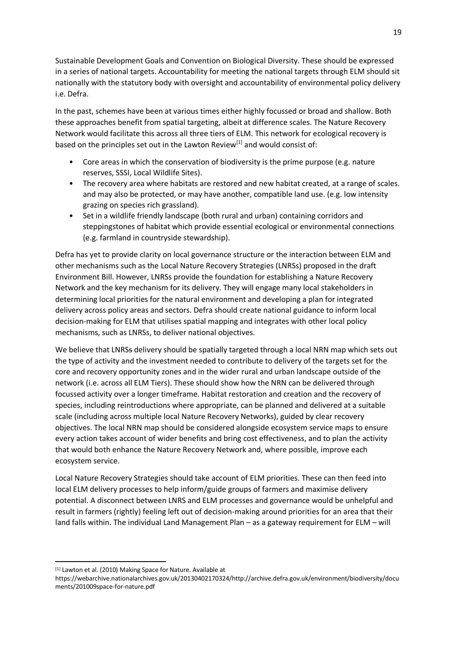Sustainable Development Goals and Convention on Biological Diversity. These should be expressed in a series of national targets. Accountability for meeting the national targets through ELM should sit nationally with the statutory body with oversight and accountability of environmental policy delivery i.e. Defra.

In the past, schemes have been at various times either highly focussed or broad and shallow. Both these approaches benefit from spatial targeting, albeit at difference scales. The Nature Recovery Network would facilitate this across all three tiers of ELM. This network for ecological recovery is based on the principles set out in the Lawton Review<sup>[1]</sup> and would consist of:

- Core areas in which the conservation of biodiversity is the prime purpose (e.g. nature reserves, SSSI, Local Wildlife Sites).
- The recovery area where habitats are restored and new habitat created, at a range of scales. and may also be protected, or may have another, compatible land use. (e.g. low intensity grazing on species rich grassland).
- Set in a wildlife friendly landscape (both rural and urban) containing corridors and steppingstones of habitat which provide essential ecological or environmental connections (e.g. farmland in countryside stewardship).

Defra has yet to provide clarity on local governance structure or the interaction between ELM and other mechanisms such as the Local Nature Recovery Strategies (LNRSs) proposed in the draft Environment Bill. However, LNRSs provide the foundation for establishing a Nature Recovery Network and the key mechanism for its delivery. They will engage many local stakeholders in determining local priorities for the natural environment and developing a plan for integrated delivery across policy areas and sectors. Defra should create national guidance to inform local decision-making for ELM that utilises spatial mapping and integrates with other local policy mechanisms, such as LNRSs, to deliver national objectives.

We believe that LNRSs delivery should be spatially targeted through a local NRN map which sets out the type of activity and the investment needed to contribute to delivery of the targets set for the core and recovery opportunity zones and in the wider rural and urban landscape outside of the network (i.e. across all ELM Tiers). These should show how the NRN can be delivered through focussed activity over a longer timeframe. Habitat restoration and creation and the recovery of species, including reintroductions where appropriate, can be planned and delivered at a suitable scale (including across multiple local Nature Recovery Networks), guided by clear recovery objectives. The local NRN map should be considered alongside ecosystem service maps to ensure every action takes account of wider benefits and bring cost effectiveness, and to plan the activity that would both enhance the Nature Recovery Network and, where possible, improve each ecosystem service.

Local Nature Recovery Strategies should take account of ELM priorities. These can then feed into local ELM delivery processes to help inform/guide groups of farmers and maximise delivery potential. A disconnect between LNRS and ELM processes and governance would be unhelpful and result in farmers (rightly) feeling left out of decision-making around priorities for an area that their land falls within. The individual Land Management Plan – as a gateway requirement for ELM – will

<sup>[1]</sup> Lawton et al. (2010) Making Space for Nature. Available at

https://webarchive.nationalarchives.gov.uk/20130402170324/http://archive.defra.gov.uk/environment/biodiversity/docu ments/201009space-for-nature.pdf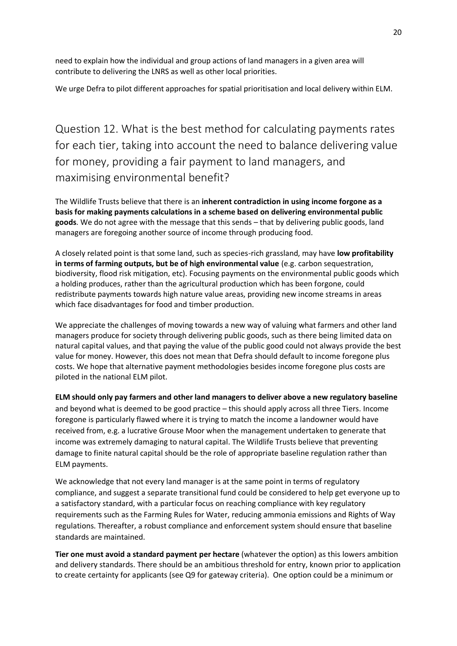need to explain how the individual and group actions of land managers in a given area will contribute to delivering the LNRS as well as other local priorities.

We urge Defra to pilot different approaches for spatial prioritisation and local delivery within ELM.

<span id="page-19-0"></span>Question 12. What is the best method for calculating payments rates for each tier, taking into account the need to balance delivering value for money, providing a fair payment to land managers, and maximising environmental benefit?

The Wildlife Trusts believe that there is an **inherent contradiction in using income forgone as a basis for making payments calculations in a scheme based on delivering environmental public goods**. We do not agree with the message that this sends – that by delivering public goods, land managers are foregoing another source of income through producing food.

A closely related point is that some land, such as species-rich grassland, may have **low profitability in terms of farming outputs, but be of high environmental value** (e.g. carbon sequestration, biodiversity, flood risk mitigation, etc). Focusing payments on the environmental public goods which a holding produces, rather than the agricultural production which has been forgone, could redistribute payments towards high nature value areas, providing new income streams in areas which face disadvantages for food and timber production.

We appreciate the challenges of moving towards a new way of valuing what farmers and other land managers produce for society through delivering public goods, such as there being limited data on natural capital values, and that paying the value of the public good could not always provide the best value for money. However, this does not mean that Defra should default to income foregone plus costs. We hope that alternative payment methodologies besides income foregone plus costs are piloted in the national ELM pilot.

**ELM should only pay farmers and other land managers to deliver above a new regulatory baseline** and beyond what is deemed to be good practice – this should apply across all three Tiers. Income foregone is particularly flawed where it is trying to match the income a landowner would have received from, e.g. a lucrative Grouse Moor when the management undertaken to generate that income was extremely damaging to natural capital. The Wildlife Trusts believe that preventing damage to finite natural capital should be the role of appropriate baseline regulation rather than ELM payments.

We acknowledge that not every land manager is at the same point in terms of regulatory compliance, and suggest a separate transitional fund could be considered to help get everyone up to a satisfactory standard, with a particular focus on reaching compliance with key regulatory requirements such as the Farming Rules for Water, reducing ammonia emissions and Rights of Way regulations. Thereafter, a robust compliance and enforcement system should ensure that baseline standards are maintained.

**Tier one must avoid a standard payment per hectare** (whatever the option) as this lowers ambition and delivery standards. There should be an ambitious threshold for entry, known prior to application to create certainty for applicants (see Q9 for gateway criteria). One option could be a minimum or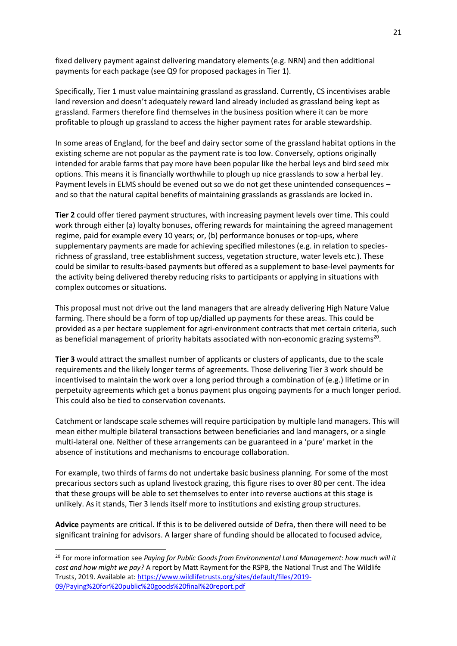fixed delivery payment against delivering mandatory elements (e.g. NRN) and then additional payments for each package (see Q9 for proposed packages in Tier 1).

Specifically, Tier 1 must value maintaining grassland as grassland. Currently, CS incentivises arable land reversion and doesn't adequately reward land already included as grassland being kept as grassland. Farmers therefore find themselves in the business position where it can be more profitable to plough up grassland to access the higher payment rates for arable stewardship.

In some areas of England, for the beef and dairy sector some of the grassland habitat options in the existing scheme are not popular as the payment rate is too low. Conversely, options originally intended for arable farms that pay more have been popular like the herbal leys and bird seed mix options. This means it is financially worthwhile to plough up nice grasslands to sow a herbal ley. Payment levels in ELMS should be evened out so we do not get these unintended consequences – and so that the natural capital benefits of maintaining grasslands as grasslands are locked in.

**Tier 2** could offer tiered payment structures, with increasing payment levels over time. This could work through either (a) loyalty bonuses, offering rewards for maintaining the agreed management regime, paid for example every 10 years; or, (b) performance bonuses or top-ups, where supplementary payments are made for achieving specified milestones (e.g. in relation to speciesrichness of grassland, tree establishment success, vegetation structure, water levels etc.). These could be similar to results-based payments but offered as a supplement to base-level payments for the activity being delivered thereby reducing risks to participants or applying in situations with complex outcomes or situations.

This proposal must not drive out the land managers that are already delivering High Nature Value farming. There should be a form of top up/dialled up payments for these areas. This could be provided as a per hectare supplement for agri-environment contracts that met certain criteria, such as beneficial management of priority habitats associated with non-economic grazing systems<sup>20</sup>.

**Tier 3** would attract the smallest number of applicants or clusters of applicants, due to the scale requirements and the likely longer terms of agreements. Those delivering Tier 3 work should be incentivised to maintain the work over a long period through a combination of (e.g.) lifetime or in perpetuity agreements which get a bonus payment plus ongoing payments for a much longer period. This could also be tied to conservation covenants.

Catchment or landscape scale schemes will require participation by multiple land managers. This will mean either multiple bilateral transactions between beneficiaries and land managers, or a single multi-lateral one. Neither of these arrangements can be guaranteed in a 'pure' market in the absence of institutions and mechanisms to encourage collaboration.

For example, two thirds of farms do not undertake basic business planning. For some of the most precarious sectors such as upland livestock grazing, this figure rises to over 80 per cent. The idea that these groups will be able to set themselves to enter into reverse auctions at this stage is unlikely. As it stands, Tier 3 lends itself more to institutions and existing group structures.

**Advice** payments are critical. If this is to be delivered outside of Defra, then there will need to be significant training for advisors. A larger share of funding should be allocated to focused advice,

<sup>20</sup> For more information see *Paying for Public Goods from Environmental Land Management: how much will it cost and how might we pay?* A report by Matt Rayment for the RSPB, the National Trust and The Wildlife Trusts, 2019. Available at: [https://www.wildlifetrusts.org/sites/default/files/2019-](https://www.wildlifetrusts.org/sites/default/files/2019-09/Paying%20for%20public%20goods%20final%20report.pdf) [09/Paying%20for%20public%20goods%20final%20report.pdf](https://www.wildlifetrusts.org/sites/default/files/2019-09/Paying%20for%20public%20goods%20final%20report.pdf)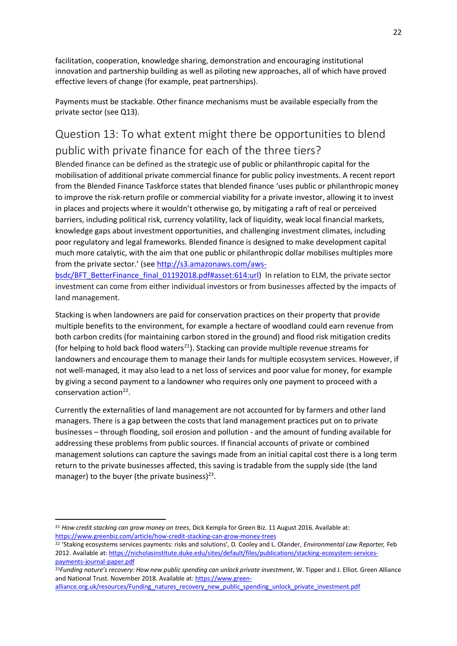facilitation, cooperation, knowledge sharing, demonstration and encouraging institutional innovation and partnership building as well as piloting new approaches, all of which have proved effective levers of change (for example, peat partnerships).

Payments must be stackable. Other finance mechanisms must be available especially from the private sector (see Q13).

# <span id="page-21-0"></span>Question 13: To what extent might there be opportunities to blend public with private finance for each of the three tiers?

Blended finance can be defined as the strategic use of public or philanthropic capital for the mobilisation of additional private commercial finance for public policy investments. A recent report from the Blended Finance Taskforce states that blended finance 'uses public or philanthropic money to improve the risk-return profile or commercial viability for a private investor, allowing it to invest in places and projects where it wouldn't otherwise go, by mitigating a raft of real or perceived barriers, including political risk, currency volatility, lack of liquidity, weak local financial markets, knowledge gaps about investment opportunities, and challenging investment climates, including poor regulatory and legal frameworks. Blended finance is designed to make development capital much more catalytic, with the aim that one public or philanthropic dollar mobilises multiples more from the private sector.' (see [http://s3.amazonaws.com/aws-](http://s3.amazonaws.com/aws-bsdc/BFT_BetterFinance_final_01192018.pdf#asset:614:url)

[bsdc/BFT\\_BetterFinance\\_final\\_01192018.pdf#asset:614:url\)](http://s3.amazonaws.com/aws-bsdc/BFT_BetterFinance_final_01192018.pdf#asset:614:url) In relation to ELM, the private sector investment can come from either individual investors or from businesses affected by the impacts of land management.

Stacking is when landowners are paid for conservation practices on their property that provide multiple benefits to the environment, for example a hectare of woodland could earn revenue from both carbon credits (for maintaining carbon stored in the ground) and flood risk mitigation credits (for helping to hold back flood waters<sup>21</sup>). Stacking can provide multiple revenue streams for landowners and encourage them to manage their lands for multiple ecosystem services. However, if not well-managed, it may also lead to a net loss of services and poor value for money, for example by giving a second payment to a landowner who requires only one payment to proceed with a conservation action<sup>22</sup>.

Currently the externalities of land management are not accounted for by farmers and other land managers. There is a gap between the costs that land management practices put on to private businesses – through flooding, soil erosion and pollution - and the amount of funding available for addressing these problems from public sources. If financial accounts of private or combined management solutions can capture the savings made from an initial capital cost there is a long term return to the private businesses affected, this saving is tradable from the supply side (the land manager) to the buyer (the private business)<sup>23</sup>.

<sup>21</sup> *How credit stacking can grow money on trees*, Dick Kempla for Green Biz. 11 August 2016. Available at: <https://www.greenbiz.com/article/how-credit-stacking-can-grow-money-trees>

<sup>22</sup> 'Staking ecosystems services payments: risks and solutions', D. Cooley and L. Olander, *Environmental Law Reporter,* Feb 2012. Available at[: https://nicholasinstitute.duke.edu/sites/default/files/publications/stacking-ecosystem-services](https://nicholasinstitute.duke.edu/sites/default/files/publications/stacking-ecosystem-services-payments-journal-paper.pdf)[payments-journal-paper.pdf](https://nicholasinstitute.duke.edu/sites/default/files/publications/stacking-ecosystem-services-payments-journal-paper.pdf)

<sup>&</sup>lt;sup>23</sup>Funding nature's recovery: How new public spending can unlock private investment, W. Tipper and J. Elliot. Green Alliance and National Trust. November 2018. Available at[: https://www.green-](https://www.green-alliance.org.uk/resources/Funding_natures_recovery_new_public_spending_unlock_private_investment.pdf)

[alliance.org.uk/resources/Funding\\_natures\\_recovery\\_new\\_public\\_spending\\_unlock\\_private\\_investment.pdf](https://www.green-alliance.org.uk/resources/Funding_natures_recovery_new_public_spending_unlock_private_investment.pdf)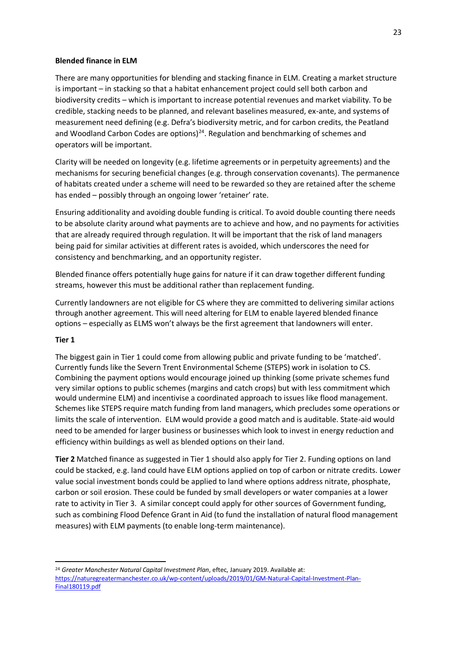#### **Blended finance in ELM**

There are many opportunities for blending and stacking finance in ELM. Creating a market structure is important – in stacking so that a habitat enhancement project could sell both carbon and biodiversity credits – which is important to increase potential revenues and market viability. To be credible, stacking needs to be planned, and relevant baselines measured, ex-ante, and systems of measurement need defining (e.g. Defra's biodiversity metric, and for carbon credits, the Peatland and Woodland Carbon Codes are options) $2<sup>4</sup>$ . Regulation and benchmarking of schemes and operators will be important.

Clarity will be needed on longevity (e.g. lifetime agreements or in perpetuity agreements) and the mechanisms for securing beneficial changes (e.g. through conservation covenants). The permanence of habitats created under a scheme will need to be rewarded so they are retained after the scheme has ended – possibly through an ongoing lower 'retainer' rate.

Ensuring additionality and avoiding double funding is critical. To avoid double counting there needs to be absolute clarity around what payments are to achieve and how, and no payments for activities that are already required through regulation. It will be important that the risk of land managers being paid for similar activities at different rates is avoided, which underscores the need for consistency and benchmarking, and an opportunity register.

Blended finance offers potentially huge gains for nature if it can draw together different funding streams, however this must be additional rather than replacement funding.

Currently landowners are not eligible for CS where they are committed to delivering similar actions through another agreement. This will need altering for ELM to enable layered blended finance options – especially as ELMS won't always be the first agreement that landowners will enter.

#### **Tier 1**

The biggest gain in Tier 1 could come from allowing public and private funding to be 'matched'. Currently funds like the Severn Trent Environmental Scheme (STEPS) work in isolation to CS. Combining the payment options would encourage joined up thinking (some private schemes fund very similar options to public schemes (margins and catch crops) but with less commitment which would undermine ELM) and incentivise a coordinated approach to issues like flood management. Schemes like STEPS require match funding from land managers, which precludes some operations or limits the scale of intervention. ELM would provide a good match and is auditable. State-aid would need to be amended for larger business or businesses which look to invest in energy reduction and efficiency within buildings as well as blended options on their land.

**Tier 2** Matched finance as suggested in Tier 1 should also apply for Tier 2. Funding options on land could be stacked, e.g. land could have ELM options applied on top of carbon or nitrate credits. Lower value social investment bonds could be applied to land where options address nitrate, phosphate, carbon or soil erosion. These could be funded by small developers or water companies at a lower rate to activity in Tier 3. A similar concept could apply for other sources of Government funding, such as combining Flood Defence Grant in Aid (to fund the installation of natural flood management measures) with ELM payments (to enable long-term maintenance).

<sup>24</sup> *Greater Manchester Natural Capital Investment Plan*, eftec, January 2019. Available at: [https://naturegreatermanchester.co.uk/wp-content/uploads/2019/01/GM-Natural-Capital-Investment-Plan-](https://naturegreatermanchester.co.uk/wp-content/uploads/2019/01/GM-Natural-Capital-Investment-Plan-Final180119.pdf)[Final180119.pdf](https://naturegreatermanchester.co.uk/wp-content/uploads/2019/01/GM-Natural-Capital-Investment-Plan-Final180119.pdf)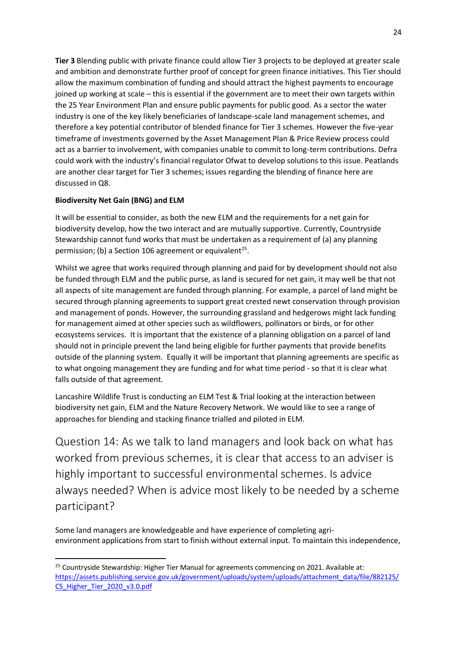**Tier 3** Blending public with private finance could allow Tier 3 projects to be deployed at greater scale and ambition and demonstrate further proof of concept for green finance initiatives. This Tier should allow the maximum combination of funding and should attract the highest payments to encourage joined up working at scale – this is essential if the government are to meet their own targets within the 25 Year Environment Plan and ensure public payments for public good. As a sector the water industry is one of the key likely beneficiaries of landscape-scale land management schemes, and therefore a key potential contributor of blended finance for Tier 3 schemes. However the five-year timeframe of investments governed by the Asset Management Plan & Price Review process could act as a barrier to involvement, with companies unable to commit to long-term contributions. Defra could work with the industry's financial regulator Ofwat to develop solutions to this issue. Peatlands are another clear target for Tier 3 schemes; issues regarding the blending of finance here are discussed in Q8.

### **Biodiversity Net Gain (BNG) and ELM**

It will be essential to consider, as both the new ELM and the requirements for a net gain for biodiversity develop, how the two interact and are mutually supportive. Currently, Countryside Stewardship cannot fund works that must be undertaken as a requirement of (a) any planning permission; (b) a Section 106 agreement or equivalent<sup>25</sup>.

Whilst we agree that works required through planning and paid for by development should not also be funded through ELM and the public purse, as land is secured for net gain, it may well be that not all aspects of site management are funded through planning. For example, a parcel of land might be secured through planning agreements to support great crested newt conservation through provision and management of ponds. However, the surrounding grassland and hedgerows might lack funding for management aimed at other species such as wildflowers, pollinators or birds, or for other ecosystems services. It is important that the existence of a planning obligation on a parcel of land should not in principle prevent the land being eligible for further payments that provide benefits outside of the planning system. Equally it will be important that planning agreements are specific as to what ongoing management they are funding and for what time period - so that it is clear what falls outside of that agreement.

Lancashire Wildlife Trust is conducting an ELM Test & Trial looking at the interaction between biodiversity net gain, ELM and the Nature Recovery Network. We would like to see a range of approaches for blending and stacking finance trialled and piloted in ELM.

<span id="page-23-0"></span>Question 14: As we talk to land managers and look back on what has worked from previous schemes, it is clear that access to an adviser is highly important to successful environmental schemes. Is advice always needed? When is advice most likely to be needed by a scheme participant?

Some land managers are knowledgeable and have experience of completing agrienvironment applications from start to finish without external input. To maintain this independence,

<sup>&</sup>lt;sup>25</sup> Countryside Stewardship: Higher Tier Manual for agreements commencing on 2021. Available at: [https://assets.publishing.service.gov.uk/government/uploads/system/uploads/attachment\\_data/file/882125/](https://assets.publishing.service.gov.uk/government/uploads/system/uploads/attachment_data/file/882125/CS_Higher_Tier_2020_v3.0.pdf) [CS\\_Higher\\_Tier\\_2020\\_v3.0.pdf](https://assets.publishing.service.gov.uk/government/uploads/system/uploads/attachment_data/file/882125/CS_Higher_Tier_2020_v3.0.pdf)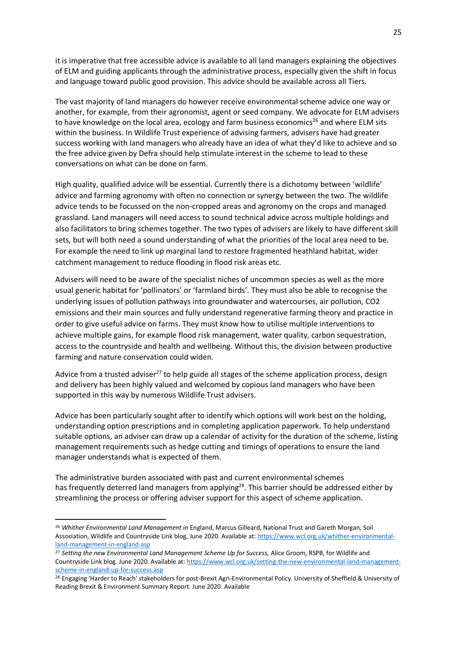it is imperative that free accessible advice is available to all land managers explaining the objectives of ELM and guiding applicants through the administrative process, especially given the shift in focus and language toward public good provision. This advice should be available across all Tiers.

The vast majority of land managers do however receive environmental scheme advice one way or another, for example, from their agronomist, agent or seed company. We advocate for ELM advisers to have knowledge on the local area, ecology and farm business economics<sup>26</sup> and where ELM sits within the business. In Wildlife Trust experience of advising farmers, advisers have had greater success working with land managers who already have an idea of what they'd like to achieve and so the free advice given by Defra should help stimulate interest in the scheme to lead to these conversations on what can be done on farm.

High quality, qualified advice will be essential. Currently there is a dichotomy between 'wildlife' advice and farming agronomy with often no connection or synergy between the two. The wildlife advice tends to be focussed on the non-cropped areas and agronomy on the crops and managed grassland. Land managers will need access to sound technical advice across multiple holdings and also facilitators to bring schemes together. The two types of advisers are likely to have different skill sets, but will both need a sound understanding of what the priorities of the local area need to be. For example the need to link up marginal land to restore fragmented heathland habitat, wider catchment management to reduce flooding in flood risk areas etc.

Advisers will need to be aware of the specialist niches of uncommon species as well as the more usual generic habitat for 'pollinators' or 'farmland birds'. They must also be able to recognise the underlying issues of pollution pathways into groundwater and watercourses, air pollution, CO2 emissions and their main sources and fully understand regenerative farming theory and practice in order to give useful advice on farms. They must know how to utilise multiple interventions to achieve multiple gains, for example flood risk management, water quality, carbon sequestration, access to the countryside and health and wellbeing. Without this, the division between productive farming and nature conservation could widen.

Advice from a trusted adviser<sup>27</sup> to help guide all stages of the scheme application process, design and delivery has been highly valued and welcomed by copious land managers who have been supported in this way by numerous Wildlife Trust advisers.

Advice has been particularly sought after to identify which options will work best on the holding, understanding option prescriptions and in completing application paperwork. To help understand suitable options, an adviser can draw up a calendar of activity for the duration of the scheme, listing management requirements such as hedge cutting and timings of operations to ensure the land manager understands what is expected of them.

The administrative burden associated with past and current environmental schemes has frequently deterred land managers from applying<sup>28</sup>. This barrier should be addressed either by streamlining the process or offering adviser support for this aspect of scheme application.

<sup>26</sup> *Whither Environmental Land Management in* England, Marcus Gilleard, National Trust and Gareth Morgan, Soil Association, Wildlife and Countryside Link blog, June 2020. Available at: [https://www.wcl.org.uk/whither-environmental](https://www.wcl.org.uk/whither-environmental-land-management-in-england.asp)[land-management-in-england.asp](https://www.wcl.org.uk/whither-environmental-land-management-in-england.asp)

<sup>27</sup> *Setting the new Environmental Land Management Scheme Up for Success,* Alice Groom, RSPB, for Wildlife and Countryside Link blog. June 2020. Available at: [https://www.wcl.org.uk/setting-the-new-environmental-land-management](https://www.wcl.org.uk/setting-the-new-environmental-land-management-scheme-in-england-up-for-success.asp)[scheme-in-england-up-for-success.asp](https://www.wcl.org.uk/setting-the-new-environmental-land-management-scheme-in-england-up-for-success.asp)

<sup>&</sup>lt;sup>28</sup> Engaging 'Harder to Reach' stakeholders for post-Brexit Agri-Environmental Policy. University of Sheffield & University of Reading Brexit & Environment Summary Report. June 2020. Available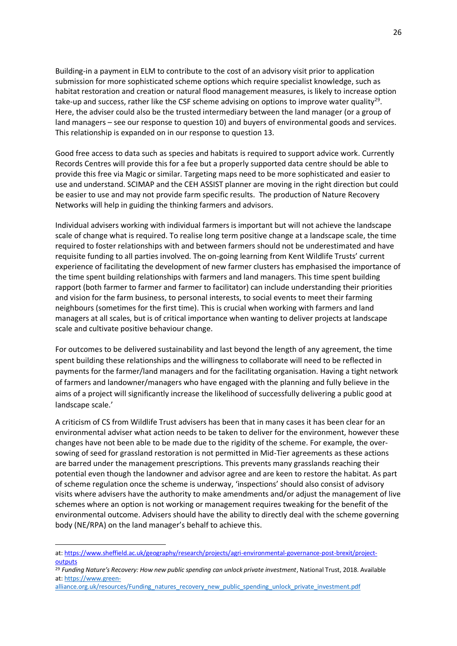Building-in a payment in ELM to contribute to the cost of an advisory visit prior to application submission for more sophisticated scheme options which require specialist knowledge, such as habitat restoration and creation or natural flood management measures, is likely to increase option take-up and success, rather like the CSF scheme advising on options to improve water quality<sup>29</sup>. Here, the adviser could also be the trusted intermediary between the land manager (or a group of land managers – see our response to question 10) and buyers of environmental goods and services. This relationship is expanded on in our response to question 13.

Good free access to data such as species and habitats is required to support advice work. Currently Records Centres will provide this for a fee but a properly supported data centre should be able to provide this free via Magic or similar. Targeting maps need to be more sophisticated and easier to use and understand. SCIMAP and the CEH ASSIST planner are moving in the right direction but could be easier to use and may not provide farm specific results. The production of Nature Recovery Networks will help in guiding the thinking farmers and advisors.

Individual advisers working with individual farmers is important but will not achieve the landscape scale of change what is required. To realise long term positive change at a landscape scale, the time required to foster relationships with and between farmers should not be underestimated and have requisite funding to all parties involved. The on-going learning from Kent Wildlife Trusts' current experience of facilitating the development of new farmer clusters has emphasised the importance of the time spent building relationships with farmers and land managers. This time spent building rapport (both farmer to farmer and farmer to facilitator) can include understanding their priorities and vision for the farm business, to personal interests, to social events to meet their farming neighbours (sometimes for the first time). This is crucial when working with farmers and land managers at all scales, but is of critical importance when wanting to deliver projects at landscape scale and cultivate positive behaviour change.

For outcomes to be delivered sustainability and last beyond the length of any agreement, the time spent building these relationships and the willingness to collaborate will need to be reflected in payments for the farmer/land managers and for the facilitating organisation. Having a tight network of farmers and landowner/managers who have engaged with the planning and fully believe in the aims of a project will significantly increase the likelihood of successfully delivering a public good at landscape scale.'

A criticism of CS from Wildlife Trust advisers has been that in many cases it has been clear for an environmental adviser what action needs to be taken to deliver for the environment, however these changes have not been able to be made due to the rigidity of the scheme. For example, the oversowing of seed for grassland restoration is not permitted in Mid-Tier agreements as these actions are barred under the management prescriptions. This prevents many grasslands reaching their potential even though the landowner and advisor agree and are keen to restore the habitat. As part of scheme regulation once the scheme is underway, 'inspections' should also consist of advisory visits where advisers have the authority to make amendments and/or adjust the management of live schemes where an option is not working or management requires tweaking for the benefit of the environmental outcome. Advisers should have the ability to directly deal with the scheme governing body (NE/RPA) on the land manager's behalf to achieve this.

at: [https://www.sheffield.ac.uk/geography/research/projects/agri-environmental-governance-post-brexit/project](https://www.sheffield.ac.uk/geography/research/projects/agri-environmental-governance-post-brexit/project-outputs)**[outputs](https://www.sheffield.ac.uk/geography/research/projects/agri-environmental-governance-post-brexit/project-outputs)** 

<sup>29</sup> *Funding Nature's Recovery: How new public spending can unlock private investment*, National Trust, 2018. Available at: [https://www.green-](https://www.green-alliance.org.uk/resources/Funding_natures_recovery_new_public_spending_unlock_private_investment.pdf)

[alliance.org.uk/resources/Funding\\_natures\\_recovery\\_new\\_public\\_spending\\_unlock\\_private\\_investment.pdf](https://www.green-alliance.org.uk/resources/Funding_natures_recovery_new_public_spending_unlock_private_investment.pdf)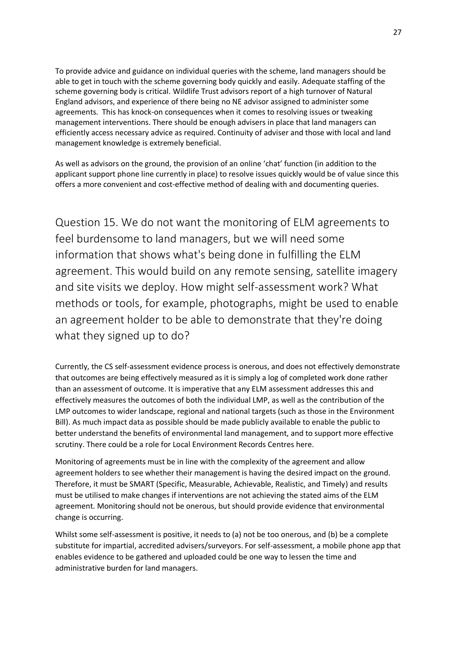To provide advice and guidance on individual queries with the scheme, land managers should be able to get in touch with the scheme governing body quickly and easily. Adequate staffing of the scheme governing body is critical. Wildlife Trust advisors report of a high turnover of Natural England advisors, and experience of there being no NE advisor assigned to administer some agreements. This has knock-on consequences when it comes to resolving issues or tweaking management interventions. There should be enough advisers in place that land managers can efficiently access necessary advice as required. Continuity of adviser and those with local and land management knowledge is extremely beneficial.

As well as advisors on the ground, the provision of an online 'chat' function (in addition to the applicant support phone line currently in place) to resolve issues quickly would be of value since this offers a more convenient and cost-effective method of dealing with and documenting queries.

<span id="page-26-0"></span>Question 15. We do not want the monitoring of ELM agreements to feel burdensome to land managers, but we will need some information that shows what's being done in fulfilling the ELM agreement. This would build on any remote sensing, satellite imagery and site visits we deploy. How might self-assessment work? What methods or tools, for example, photographs, might be used to enable an agreement holder to be able to demonstrate that they're doing what they signed up to do?

Currently, the CS self-assessment evidence process is onerous, and does not effectively demonstrate that outcomes are being effectively measured as it is simply a log of completed work done rather than an assessment of outcome. It is imperative that any ELM assessment addresses this and effectively measures the outcomes of both the individual LMP, as well as the contribution of the LMP outcomes to wider landscape, regional and national targets (such as those in the Environment Bill). As much impact data as possible should be made publicly available to enable the public to better understand the benefits of environmental land management, and to support more effective scrutiny. There could be a role for Local Environment Records Centres here.

Monitoring of agreements must be in line with the complexity of the agreement and allow agreement holders to see whether their management is having the desired impact on the ground. Therefore, it must be SMART (Specific, Measurable, Achievable, Realistic, and Timely) and results must be utilised to make changes if interventions are not achieving the stated aims of the ELM agreement. Monitoring should not be onerous, but should provide evidence that environmental change is occurring.

Whilst some self-assessment is positive, it needs to (a) not be too onerous, and (b) be a complete substitute for impartial, accredited advisers/surveyors. For self-assessment, a mobile phone app that enables evidence to be gathered and uploaded could be one way to lessen the time and administrative burden for land managers.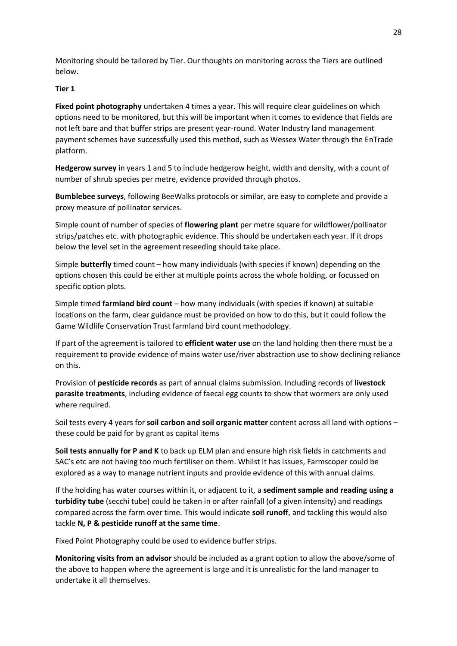Monitoring should be tailored by Tier. Our thoughts on monitoring across the Tiers are outlined below.

### **Tier 1**

**Fixed point photography** undertaken 4 times a year. This will require clear guidelines on which options need to be monitored, but this will be important when it comes to evidence that fields are not left bare and that buffer strips are present year-round. Water Industry land management payment schemes have successfully used this method, such as Wessex Water through the EnTrade platform.

**Hedgerow survey** in years 1 and 5 to include hedgerow height, width and density, with a count of number of shrub species per metre, evidence provided through photos.

**Bumblebee surveys**, following BeeWalks protocols or similar, are easy to complete and provide a proxy measure of pollinator services.

Simple count of number of species of **flowering plant** per metre square for wildflower/pollinator strips/patches etc. with photographic evidence. This should be undertaken each year. If it drops below the level set in the agreement reseeding should take place.

Simple **butterfly** timed count – how many individuals (with species if known) depending on the options chosen this could be either at multiple points across the whole holding, or focussed on specific option plots.

Simple timed **farmland bird count** – how many individuals (with species if known) at suitable locations on the farm, clear guidance must be provided on how to do this, but it could follow the Game Wildlife Conservation Trust farmland bird count methodology.

If part of the agreement is tailored to **efficient water use** on the land holding then there must be a requirement to provide evidence of mains water use/river abstraction use to show declining reliance on this.

Provision of **pesticide records** as part of annual claims submission. Including records of **livestock parasite treatments**, including evidence of faecal egg counts to show that wormers are only used where required.

Soil tests every 4 years for **soil carbon and soil organic matter** content across all land with options – these could be paid for by grant as capital items

**Soil tests annually for P and K** to back up ELM plan and ensure high risk fields in catchments and SAC's etc are not having too much fertiliser on them. Whilst it has issues, Farmscoper could be explored as a way to manage nutrient inputs and provide evidence of this with annual claims.

If the holding has water courses within it, or adjacent to it, a **sediment sample and reading using a turbidity tube** (secchi tube) could be taken in or after rainfall (of a given intensity) and readings compared across the farm over time. This would indicate **soil runoff**, and tackling this would also tackle **N, P & pesticide runoff at the same time**.

Fixed Point Photography could be used to evidence buffer strips.

**Monitoring visits from an advisor** should be included as a grant option to allow the above/some of the above to happen where the agreement is large and it is unrealistic for the land manager to undertake it all themselves.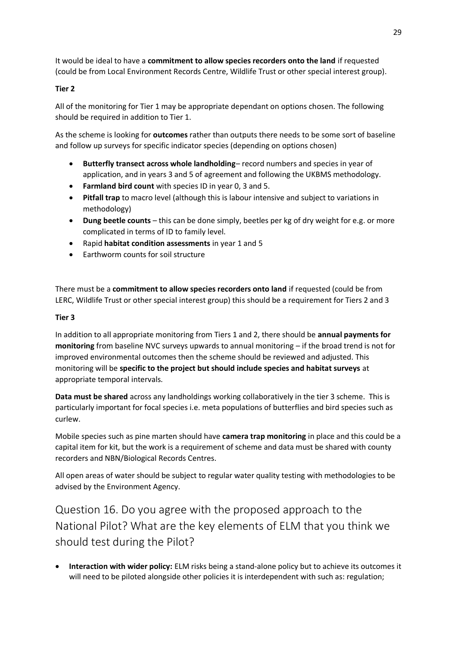It would be ideal to have a **commitment to allow species recorders onto the land** if requested (could be from Local Environment Records Centre, Wildlife Trust or other special interest group).

## **Tier 2**

All of the monitoring for Tier 1 may be appropriate dependant on options chosen. The following should be required in addition to Tier 1.

As the scheme is looking for **outcomes** rather than outputs there needs to be some sort of baseline and follow up surveys for specific indicator species (depending on options chosen)

- **Butterfly transect across whole landholding** record numbers and species in year of application, and in years 3 and 5 of agreement and following the UKBMS methodology.
- **Farmland bird count** with species ID in year 0, 3 and 5.
- **Pitfall trap** to macro level (although this is labour intensive and subject to variations in methodology)
- **Dung beetle counts** this can be done simply, beetles per kg of dry weight for e.g. or more complicated in terms of ID to family level.
- Rapid **habitat condition assessments** in year 1 and 5
- Earthworm counts for soil structure

There must be a **commitment to allow species recorders onto land** if requested (could be from LERC, Wildlife Trust or other special interest group) this should be a requirement for Tiers 2 and 3

### **Tier 3**

In addition to all appropriate monitoring from Tiers 1 and 2, there should be **annual payments for monitoring** from baseline NVC surveys upwards to annual monitoring – if the broad trend is not for improved environmental outcomes then the scheme should be reviewed and adjusted. This monitoring will be **specific to the project but should include species and habitat surveys** at appropriate temporal intervals.

**Data must be shared** across any landholdings working collaboratively in the tier 3 scheme. This is particularly important for focal species i.e. meta populations of butterflies and bird species such as curlew.

Mobile species such as pine marten should have **camera trap monitoring** in place and this could be a capital item for kit, but the work is a requirement of scheme and data must be shared with county recorders and NBN/Biological Records Centres.

All open areas of water should be subject to regular water quality testing with methodologies to be advised by the Environment Agency.

<span id="page-28-0"></span>Question 16. Do you agree with the proposed approach to the National Pilot? What are the key elements of ELM that you think we should test during the Pilot?

• **Interaction with wider policy:** ELM risks being a stand-alone policy but to achieve its outcomes it will need to be piloted alongside other policies it is interdependent with such as: regulation;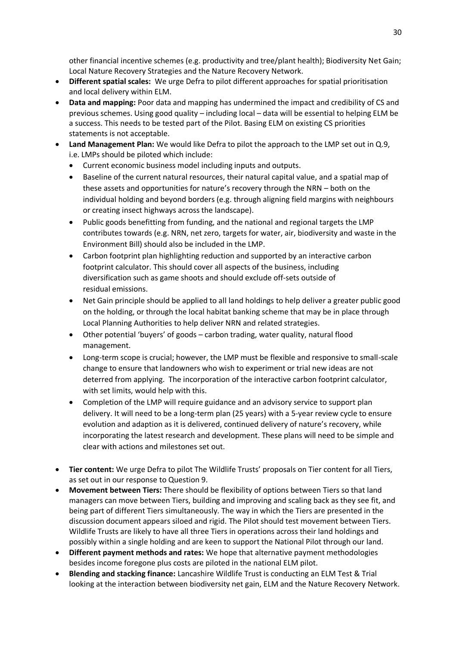other financial incentive schemes (e.g. productivity and tree/plant health); Biodiversity Net Gain; Local Nature Recovery Strategies and the Nature Recovery Network.

- **Different spatial scales:** We urge Defra to pilot different approaches for spatial prioritisation and local delivery within ELM.
- **Data and mapping:** Poor data and mapping has undermined the impact and credibility of CS and previous schemes. Using good quality – including local – data will be essential to helping ELM be a success. This needs to be tested part of the Pilot. Basing ELM on existing CS priorities statements is not acceptable.
- **Land Management Plan:** We would like Defra to pilot the approach to the LMP set out in Q.9, i.e. LMPs should be piloted which include:
	- Current economic business model including inputs and outputs.
	- Baseline of the current natural resources, their natural capital value, and a spatial map of these assets and opportunities for nature's recovery through the NRN – both on the individual holding and beyond borders (e.g. through aligning field margins with neighbours or creating insect highways across the landscape).
	- Public goods benefitting from funding, and the national and regional targets the LMP contributes towards (e.g. NRN, net zero, targets for water, air, biodiversity and waste in the Environment Bill) should also be included in the LMP.
	- Carbon footprint plan highlighting reduction and supported by an interactive carbon footprint calculator. This should cover all aspects of the business, including diversification such as game shoots and should exclude off-sets outside of residual emissions.
	- Net Gain principle should be applied to all land holdings to help deliver a greater public good on the holding, or through the local habitat banking scheme that may be in place through Local Planning Authorities to help deliver NRN and related strategies.
	- Other potential 'buyers' of goods carbon trading, water quality, natural flood management.
	- Long-term scope is crucial; however, the LMP must be flexible and responsive to small-scale change to ensure that landowners who wish to experiment or trial new ideas are not deterred from applying. The incorporation of the interactive carbon footprint calculator, with set limits, would help with this.
	- Completion of the LMP will require guidance and an advisory service to support plan delivery. It will need to be a long-term plan (25 years) with a 5-year review cycle to ensure evolution and adaption as it is delivered, continued delivery of nature's recovery, while incorporating the latest research and development. These plans will need to be simple and clear with actions and milestones set out.
- **Tier content:** We urge Defra to pilot The Wildlife Trusts' proposals on Tier content for all Tiers, as set out in our response to Question 9.
- **Movement between Tiers:** There should be flexibility of options between Tiers so that land managers can move between Tiers, building and improving and scaling back as they see fit, and being part of different Tiers simultaneously. The way in which the Tiers are presented in the discussion document appears siloed and rigid. The Pilot should test movement between Tiers. Wildlife Trusts are likely to have all three Tiers in operations across their land holdings and possibly within a single holding and are keen to support the National Pilot through our land.
- **Different payment methods and rates:** We hope that alternative payment methodologies besides income foregone plus costs are piloted in the national ELM pilot.
- **Blending and stacking finance:** Lancashire Wildlife Trust is conducting an ELM Test & Trial looking at the interaction between biodiversity net gain, ELM and the Nature Recovery Network.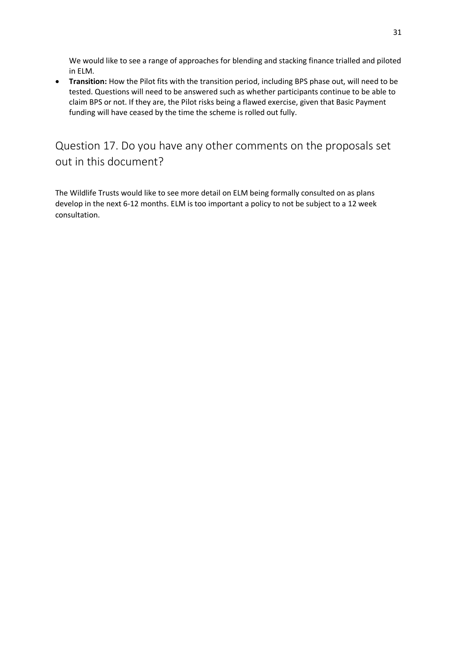We would like to see a range of approaches for blending and stacking finance trialled and piloted in ELM.

• **Transition:** How the Pilot fits with the transition period, including BPS phase out, will need to be tested. Questions will need to be answered such as whether participants continue to be able to claim BPS or not. If they are, the Pilot risks being a flawed exercise, given that Basic Payment funding will have ceased by the time the scheme is rolled out fully.

# <span id="page-30-0"></span>Question 17. Do you have any other comments on the proposals set out in this document?

The Wildlife Trusts would like to see more detail on ELM being formally consulted on as plans develop in the next 6-12 months. ELM is too important a policy to not be subject to a 12 week consultation.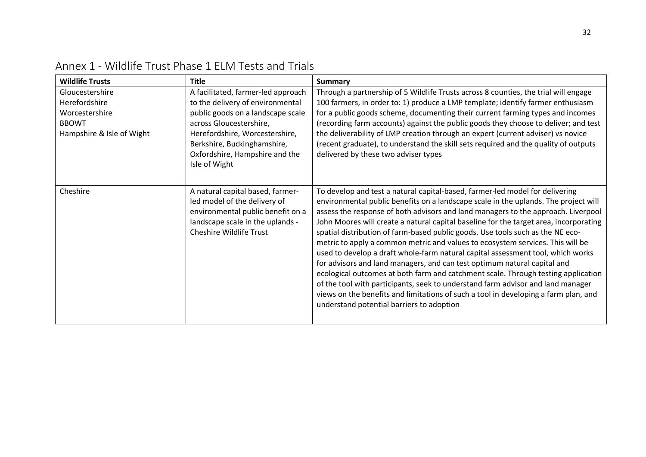<span id="page-31-0"></span>

| <b>Wildlife Trusts</b>                                                                          | <b>Title</b>                                                                                                                                                                                                                                               | <b>Summary</b>                                                                                                                                                                                                                                                                                                                                                                                                                                                                                                                                                                                                                                                                                                                                                                                                                                                                                                                                                                                   |
|-------------------------------------------------------------------------------------------------|------------------------------------------------------------------------------------------------------------------------------------------------------------------------------------------------------------------------------------------------------------|--------------------------------------------------------------------------------------------------------------------------------------------------------------------------------------------------------------------------------------------------------------------------------------------------------------------------------------------------------------------------------------------------------------------------------------------------------------------------------------------------------------------------------------------------------------------------------------------------------------------------------------------------------------------------------------------------------------------------------------------------------------------------------------------------------------------------------------------------------------------------------------------------------------------------------------------------------------------------------------------------|
| Gloucestershire<br>Herefordshire<br>Worcestershire<br><b>BBOWT</b><br>Hampshire & Isle of Wight | A facilitated, farmer-led approach<br>to the delivery of environmental<br>public goods on a landscape scale<br>across Gloucestershire,<br>Herefordshire, Worcestershire,<br>Berkshire, Buckinghamshire,<br>Oxfordshire, Hampshire and the<br>Isle of Wight | Through a partnership of 5 Wildlife Trusts across 8 counties, the trial will engage<br>100 farmers, in order to: 1) produce a LMP template; identify farmer enthusiasm<br>for a public goods scheme, documenting their current farming types and incomes<br>(recording farm accounts) against the public goods they choose to deliver; and test<br>the deliverability of LMP creation through an expert (current adviser) vs novice<br>(recent graduate), to understand the skill sets required and the quality of outputs<br>delivered by these two adviser types                                                                                                                                                                                                                                                                                                                                                                                                                               |
| Cheshire                                                                                        | A natural capital based, farmer-<br>led model of the delivery of<br>environmental public benefit on a<br>landscape scale in the uplands -<br><b>Cheshire Wildlife Trust</b>                                                                                | To develop and test a natural capital-based, farmer-led model for delivering<br>environmental public benefits on a landscape scale in the uplands. The project will<br>assess the response of both advisors and land managers to the approach. Liverpool<br>John Moores will create a natural capital baseline for the target area, incorporating<br>spatial distribution of farm-based public goods. Use tools such as the NE eco-<br>metric to apply a common metric and values to ecosystem services. This will be<br>used to develop a draft whole-farm natural capital assessment tool, which works<br>for advisors and land managers, and can test optimum natural capital and<br>ecological outcomes at both farm and catchment scale. Through testing application<br>of the tool with participants, seek to understand farm advisor and land manager<br>views on the benefits and limitations of such a tool in developing a farm plan, and<br>understand potential barriers to adoption |

# Annex 1 - Wildlife Trust Phase 1 ELM Tests and Trials